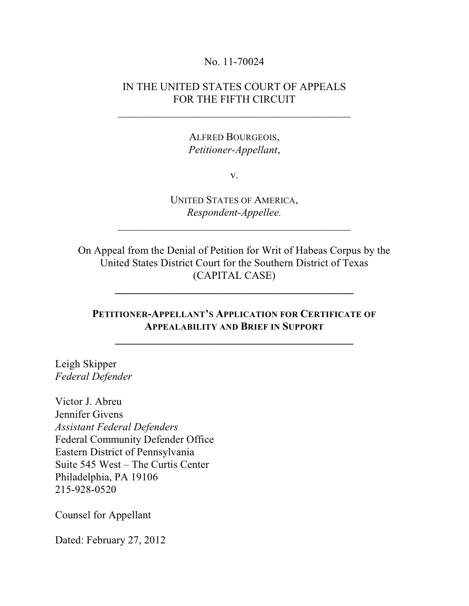### No. 11-70024

## IN THE UNITED STATES COURT OF APPEALS FOR THE FIFTH CIRCUIT

\_\_\_\_\_\_\_\_\_\_\_\_\_\_\_\_\_\_\_\_\_\_\_\_\_\_\_\_\_\_\_\_\_\_\_\_\_\_\_\_\_\_\_

ALFRED BOURGEOIS, *Petitioner-Appellant*,

v.

UNITED STATES OF AMERICA, *Respondent-Appellee.*

 $\mathcal{L}_\mathcal{L}$  , where  $\mathcal{L}_\mathcal{L}$  , we have the set of the set of the set of the set of the set of the set of the set of the set of the set of the set of the set of the set of the set of the set of the set of the set

On Appeal from the Denial of Petition for Writ of Habeas Corpus by the United States District Court for the Southern District of Texas (CAPITAL CASE)

**\_\_\_\_\_\_\_\_\_\_\_\_\_\_\_\_\_\_\_\_\_\_\_\_\_\_\_\_\_\_\_\_\_\_\_\_\_\_\_\_\_\_\_\_**

## **PETITIONER-APPELLANT'S APPLICATION FOR CERTIFICATE OF APPEALABILITY AND BRIEF IN SUPPORT**

**\_\_\_\_\_\_\_\_\_\_\_\_\_\_\_\_\_\_\_\_\_\_\_\_\_\_\_\_\_\_\_\_\_\_\_\_\_\_\_\_\_\_\_\_**

Leigh Skipper *Federal Defender*

Victor J. Abreu Jennifer Givens *Assistant Federal Defenders* Federal Community Defender Office Eastern District of Pennsylvania Suite 545 West – The Curtis Center Philadelphia, PA 19106 215-928-0520

Counsel for Appellant

Dated: February 27, 2012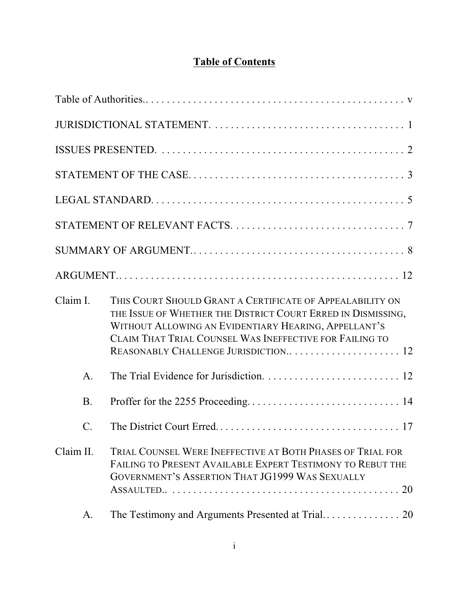# **Table of Contents**

| Claim I.        | THIS COURT SHOULD GRANT A CERTIFICATE OF APPEALABILITY ON<br>THE ISSUE OF WHETHER THE DISTRICT COURT ERRED IN DISMISSING,<br>WITHOUT ALLOWING AN EVIDENTIARY HEARING, APPELLANT'S<br>CLAIM THAT TRIAL COUNSEL WAS INEFFECTIVE FOR FAILING TO |
|-----------------|----------------------------------------------------------------------------------------------------------------------------------------------------------------------------------------------------------------------------------------------|
| $\mathsf{A}.$   |                                                                                                                                                                                                                                              |
| <b>B.</b>       |                                                                                                                                                                                                                                              |
| $\mathcal{C}$ . |                                                                                                                                                                                                                                              |
| Claim II.       | TRIAL COUNSEL WERE INEFFECTIVE AT BOTH PHASES OF TRIAL FOR<br>FAILING TO PRESENT AVAILABLE EXPERT TESTIMONY TO REBUT THE<br>GOVERNMENT'S ASSERTION THAT JG1999 WAS SEXUALLY                                                                  |
| A.              |                                                                                                                                                                                                                                              |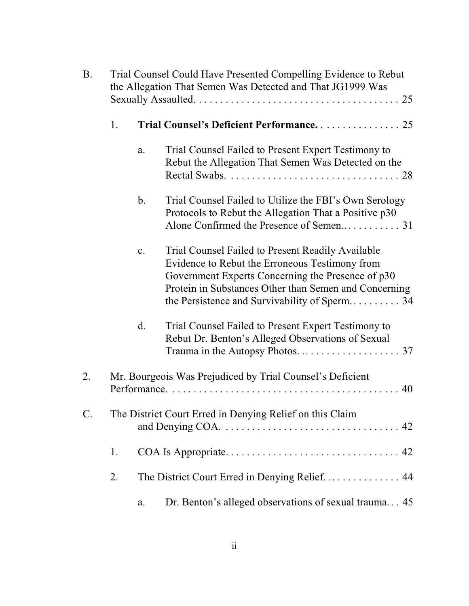| <b>B.</b>       | Trial Counsel Could Have Presented Compelling Evidence to Rebut<br>the Allegation That Semen Was Detected and That JG1999 Was |               |                                                                                                                                                                                                                   |
|-----------------|-------------------------------------------------------------------------------------------------------------------------------|---------------|-------------------------------------------------------------------------------------------------------------------------------------------------------------------------------------------------------------------|
|                 | 1.                                                                                                                            |               | Trial Counsel's Deficient Performance 25                                                                                                                                                                          |
|                 |                                                                                                                               | a.            | Trial Counsel Failed to Present Expert Testimony to<br>Rebut the Allegation That Semen Was Detected on the                                                                                                        |
|                 |                                                                                                                               | $\mathbf b$ . | Trial Counsel Failed to Utilize the FBI's Own Serology<br>Protocols to Rebut the Allegation That a Positive p30                                                                                                   |
|                 |                                                                                                                               | c.            | Trial Counsel Failed to Present Readily Available<br>Evidence to Rebut the Erroneous Testimony from<br>Government Experts Concerning the Presence of p30<br>Protein in Substances Other than Semen and Concerning |
|                 |                                                                                                                               | d.            | Trial Counsel Failed to Present Expert Testimony to<br>Rebut Dr. Benton's Alleged Observations of Sexual                                                                                                          |
| 2.              | Mr. Bourgeois Was Prejudiced by Trial Counsel's Deficient                                                                     |               |                                                                                                                                                                                                                   |
| $\mathcal{C}$ . |                                                                                                                               |               | The District Court Erred in Denying Relief on this Claim                                                                                                                                                          |
|                 | 1.                                                                                                                            |               |                                                                                                                                                                                                                   |
|                 | 2.                                                                                                                            |               | The District Court Erred in Denying Relief 44                                                                                                                                                                     |
|                 |                                                                                                                               | a.            | Dr. Benton's alleged observations of sexual trauma 45                                                                                                                                                             |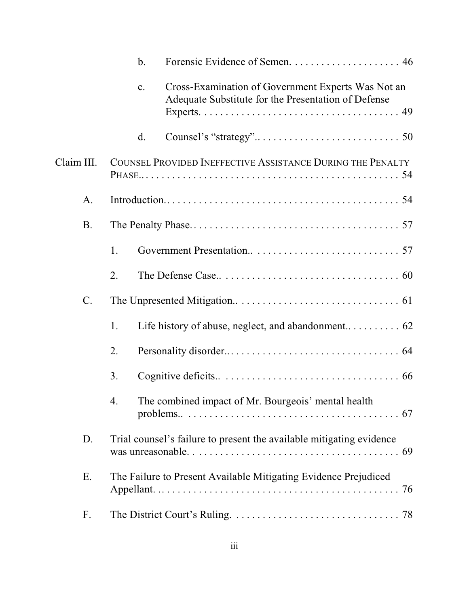|            | b.             |                                                                                                           |  |
|------------|----------------|-----------------------------------------------------------------------------------------------------------|--|
|            | $\mathbf{c}$ . | Cross-Examination of Government Experts Was Not an<br>Adequate Substitute for the Presentation of Defense |  |
|            | d.             |                                                                                                           |  |
| Claim III. |                | COUNSEL PROVIDED INEFFECTIVE ASSISTANCE DURING THE PENALTY                                                |  |
| A.         |                |                                                                                                           |  |
| <b>B.</b>  |                |                                                                                                           |  |
|            | 1.             |                                                                                                           |  |
|            | 2.             |                                                                                                           |  |
| $C$ .      |                |                                                                                                           |  |
|            | 1.             |                                                                                                           |  |
|            | 2.             |                                                                                                           |  |
|            | 3.             |                                                                                                           |  |
|            | 4.             | The combined impact of Mr. Bourgeois' mental health                                                       |  |
| D.         |                | Trial counsel's failure to present the available mitigating evidence                                      |  |
| Ε.         |                | The Failure to Present Available Mitigating Evidence Prejudiced                                           |  |
| F.         |                |                                                                                                           |  |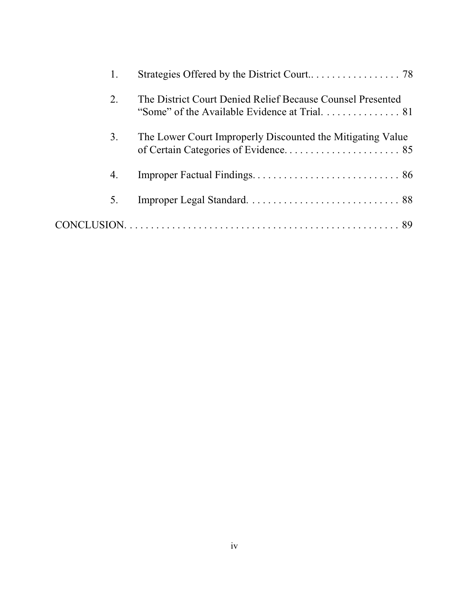| 2. | The District Court Denied Relief Because Counsel Presented<br>"Some" of the Available Evidence at Trial. 81 |
|----|-------------------------------------------------------------------------------------------------------------|
| 3. | The Lower Court Improperly Discounted the Mitigating Value                                                  |
| 4. |                                                                                                             |
| 5. |                                                                                                             |
|    |                                                                                                             |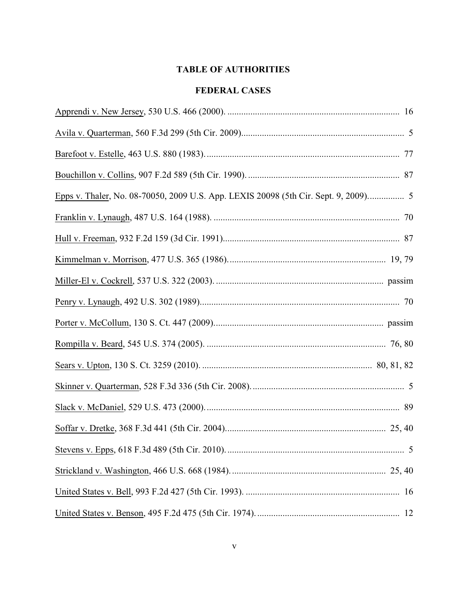## **TABLE OF AUTHORITIES**

## **FEDERAL CASES**

| Epps v. Thaler, No. 08-70050, 2009 U.S. App. LEXIS 20098 (5th Cir. Sept. 9, 2009) 5 |
|-------------------------------------------------------------------------------------|
|                                                                                     |
|                                                                                     |
|                                                                                     |
|                                                                                     |
|                                                                                     |
|                                                                                     |
|                                                                                     |
|                                                                                     |
|                                                                                     |
|                                                                                     |
|                                                                                     |
|                                                                                     |
|                                                                                     |
|                                                                                     |
|                                                                                     |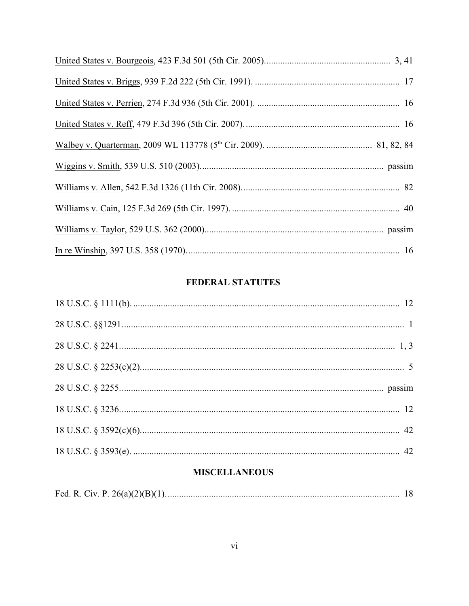## **FEDERAL STATUTES**

## **MISCELLANEOUS**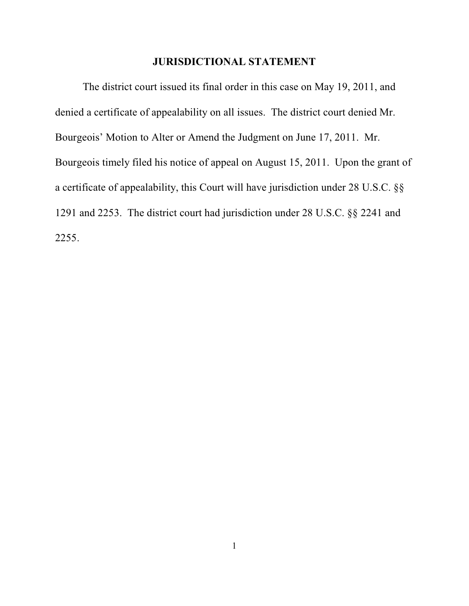#### **JURISDICTIONAL STATEMENT**

The district court issued its final order in this case on May 19, 2011, and denied a certificate of appealability on all issues. The district court denied Mr. Bourgeois' Motion to Alter or Amend the Judgment on June 17, 2011. Mr. Bourgeois timely filed his notice of appeal on August 15, 2011. Upon the grant of a certificate of appealability, this Court will have jurisdiction under 28 U.S.C. §§ 1291 and 2253. The district court had jurisdiction under 28 U.S.C. §§ 2241 and 2255.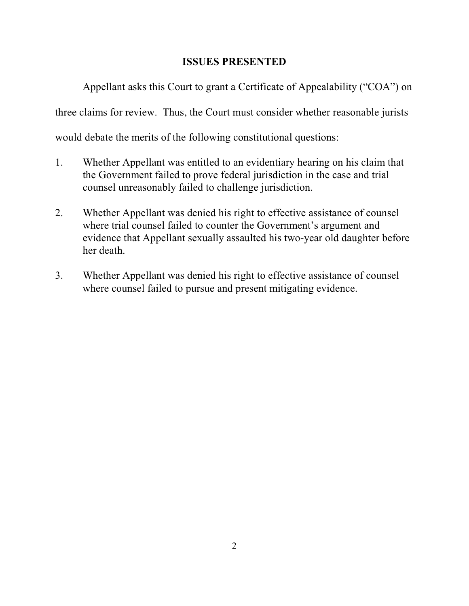## **ISSUES PRESENTED**

Appellant asks this Court to grant a Certificate of Appealability ("COA") on

three claims for review. Thus, the Court must consider whether reasonable jurists

would debate the merits of the following constitutional questions:

- 1. Whether Appellant was entitled to an evidentiary hearing on his claim that the Government failed to prove federal jurisdiction in the case and trial counsel unreasonably failed to challenge jurisdiction.
- 2. Whether Appellant was denied his right to effective assistance of counsel where trial counsel failed to counter the Government's argument and evidence that Appellant sexually assaulted his two-year old daughter before her death.
- 3. Whether Appellant was denied his right to effective assistance of counsel where counsel failed to pursue and present mitigating evidence.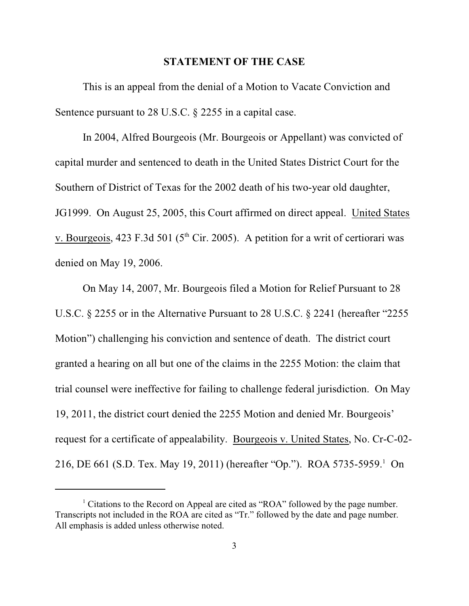#### **STATEMENT OF THE CASE**

This is an appeal from the denial of a Motion to Vacate Conviction and Sentence pursuant to 28 U.S.C. § 2255 in a capital case.

In 2004, Alfred Bourgeois (Mr. Bourgeois or Appellant) was convicted of capital murder and sentenced to death in the United States District Court for the Southern of District of Texas for the 2002 death of his two-year old daughter, JG1999. On August 25, 2005, this Court affirmed on direct appeal. United States v. Bourgeois, 423 F.3d 501 ( $5<sup>th</sup>$  Cir. 2005). A petition for a writ of certiorari was denied on May 19, 2006.

On May 14, 2007, Mr. Bourgeois filed a Motion for Relief Pursuant to 28 U.S.C. § 2255 or in the Alternative Pursuant to 28 U.S.C. § 2241 (hereafter "2255 Motion") challenging his conviction and sentence of death. The district court granted a hearing on all but one of the claims in the 2255 Motion: the claim that trial counsel were ineffective for failing to challenge federal jurisdiction. On May 19, 2011, the district court denied the 2255 Motion and denied Mr. Bourgeois' request for a certificate of appealability. Bourgeois v. United States, No. Cr-C-02- 216, DE 661 (S.D. Tex. May 19, 2011) (hereafter "Op."). ROA 5735-5959.<sup>1</sup> On

 $<sup>1</sup>$  Citations to the Record on Appeal are cited as "ROA" followed by the page number.</sup> Transcripts not included in the ROA are cited as "Tr." followed by the date and page number. All emphasis is added unless otherwise noted.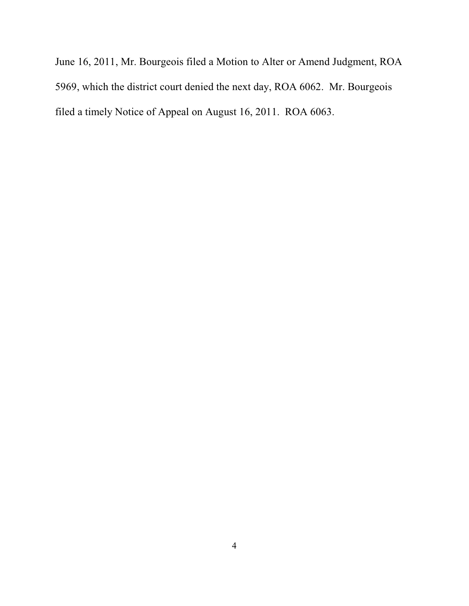June 16, 2011, Mr. Bourgeois filed a Motion to Alter or Amend Judgment, ROA 5969, which the district court denied the next day, ROA 6062. Mr. Bourgeois filed a timely Notice of Appeal on August 16, 2011. ROA 6063.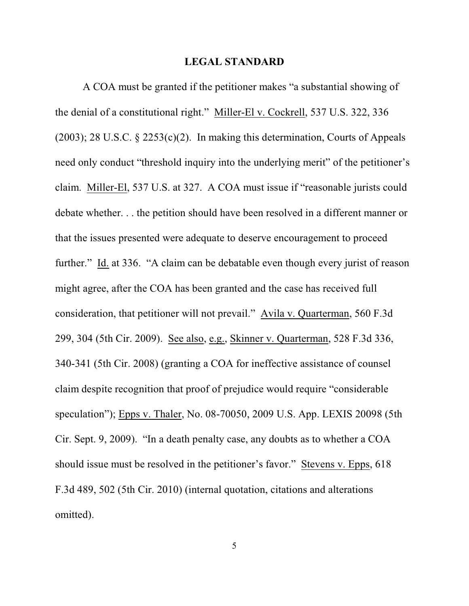#### **LEGAL STANDARD**

A COA must be granted if the petitioner makes "a substantial showing of the denial of a constitutional right." Miller-El v. Cockrell, 537 U.S. 322, 336 (2003); 28 U.S.C. § 2253(c)(2). In making this determination, Courts of Appeals need only conduct "threshold inquiry into the underlying merit" of the petitioner's claim. Miller-El, 537 U.S. at 327. A COA must issue if "reasonable jurists could debate whether. . . the petition should have been resolved in a different manner or that the issues presented were adequate to deserve encouragement to proceed further." Id. at 336. "A claim can be debatable even though every jurist of reason might agree, after the COA has been granted and the case has received full consideration, that petitioner will not prevail." Avila v. Quarterman, 560 F.3d 299, 304 (5th Cir. 2009). See also, e.g., Skinner v. Quarterman, 528 F.3d 336, 340-341 (5th Cir. 2008) (granting a COA for ineffective assistance of counsel claim despite recognition that proof of prejudice would require "considerable speculation"); Epps v. Thaler, No. 08-70050, 2009 U.S. App. LEXIS 20098 (5th Cir. Sept. 9, 2009). "In a death penalty case, any doubts as to whether a COA should issue must be resolved in the petitioner's favor." Stevens v. Epps, 618 F.3d 489, 502 (5th Cir. 2010) (internal quotation, citations and alterations omitted).

5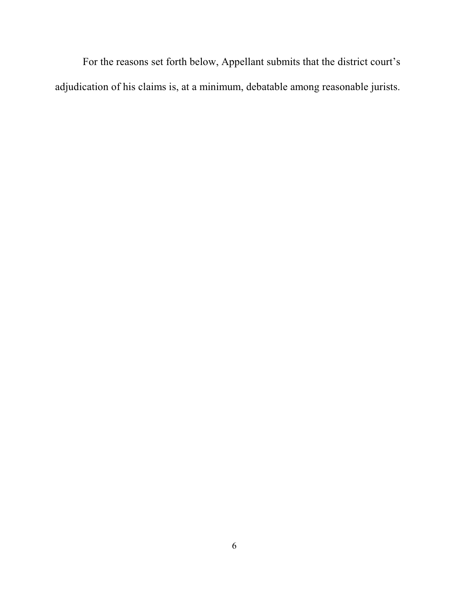For the reasons set forth below, Appellant submits that the district court's adjudication of his claims is, at a minimum, debatable among reasonable jurists.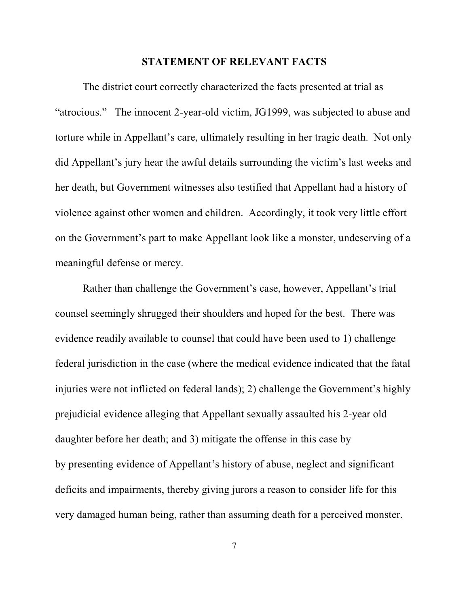#### **STATEMENT OF RELEVANT FACTS**

The district court correctly characterized the facts presented at trial as "atrocious." The innocent 2-year-old victim, JG1999, was subjected to abuse and torture while in Appellant's care, ultimately resulting in her tragic death. Not only did Appellant's jury hear the awful details surrounding the victim's last weeks and her death, but Government witnesses also testified that Appellant had a history of violence against other women and children. Accordingly, it took very little effort on the Government's part to make Appellant look like a monster, undeserving of a meaningful defense or mercy.

Rather than challenge the Government's case, however, Appellant's trial counsel seemingly shrugged their shoulders and hoped for the best. There was evidence readily available to counsel that could have been used to 1) challenge federal jurisdiction in the case (where the medical evidence indicated that the fatal injuries were not inflicted on federal lands); 2) challenge the Government's highly prejudicial evidence alleging that Appellant sexually assaulted his 2-year old daughter before her death; and 3) mitigate the offense in this case by by presenting evidence of Appellant's history of abuse, neglect and significant deficits and impairments, thereby giving jurors a reason to consider life for this very damaged human being, rather than assuming death for a perceived monster.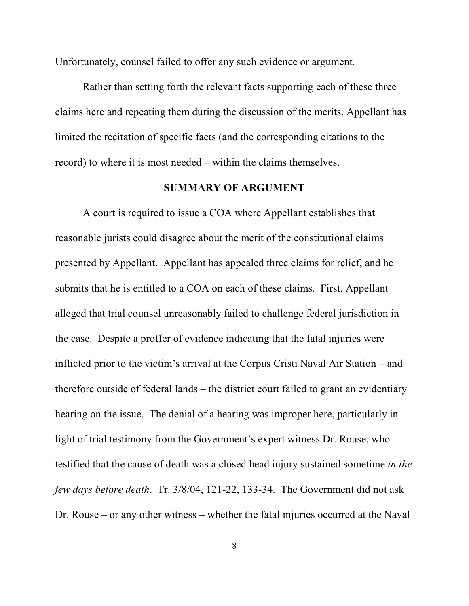Unfortunately, counsel failed to offer any such evidence or argument.

Rather than setting forth the relevant facts supporting each of these three claims here and repeating them during the discussion of the merits, Appellant has limited the recitation of specific facts (and the corresponding citations to the record) to where it is most needed – within the claims themselves.

#### **SUMMARY OF ARGUMENT**

A court is required to issue a COA where Appellant establishes that reasonable jurists could disagree about the merit of the constitutional claims presented by Appellant. Appellant has appealed three claims for relief, and he submits that he is entitled to a COA on each of these claims. First, Appellant alleged that trial counsel unreasonably failed to challenge federal jurisdiction in the case. Despite a proffer of evidence indicating that the fatal injuries were inflicted prior to the victim's arrival at the Corpus Cristi Naval Air Station – and therefore outside of federal lands – the district court failed to grant an evidentiary hearing on the issue. The denial of a hearing was improper here, particularly in light of trial testimony from the Government's expert witness Dr. Rouse, who testified that the cause of death was a closed head injury sustained sometime *in the few days before death*. Tr. 3/8/04, 121-22, 133-34. The Government did not ask Dr. Rouse – or any other witness – whether the fatal injuries occurred at the Naval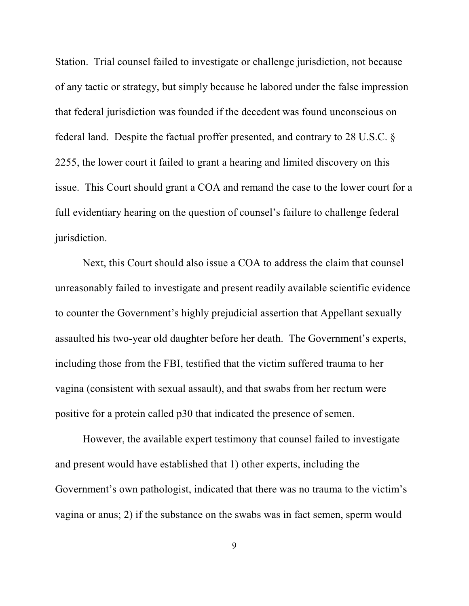Station. Trial counsel failed to investigate or challenge jurisdiction, not because of any tactic or strategy, but simply because he labored under the false impression that federal jurisdiction was founded if the decedent was found unconscious on federal land. Despite the factual proffer presented, and contrary to 28 U.S.C. § 2255, the lower court it failed to grant a hearing and limited discovery on this issue. This Court should grant a COA and remand the case to the lower court for a full evidentiary hearing on the question of counsel's failure to challenge federal jurisdiction.

Next, this Court should also issue a COA to address the claim that counsel unreasonably failed to investigate and present readily available scientific evidence to counter the Government's highly prejudicial assertion that Appellant sexually assaulted his two-year old daughter before her death. The Government's experts, including those from the FBI, testified that the victim suffered trauma to her vagina (consistent with sexual assault), and that swabs from her rectum were positive for a protein called p30 that indicated the presence of semen.

 However, the available expert testimony that counsel failed to investigate and present would have established that 1) other experts, including the Government's own pathologist, indicated that there was no trauma to the victim's vagina or anus; 2) if the substance on the swabs was in fact semen, sperm would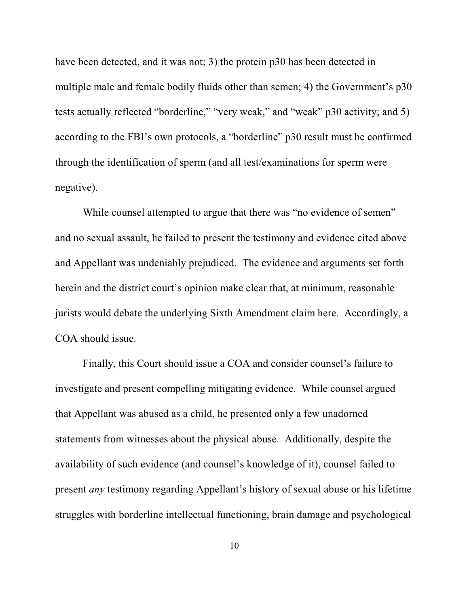have been detected, and it was not; 3) the protein p30 has been detected in multiple male and female bodily fluids other than semen; 4) the Government's p30 tests actually reflected "borderline," "very weak," and "weak" p30 activity; and 5) according to the FBI's own protocols, a "borderline" p30 result must be confirmed through the identification of sperm (and all test/examinations for sperm were negative).

While counsel attempted to argue that there was "no evidence of semen" and no sexual assault, he failed to present the testimony and evidence cited above and Appellant was undeniably prejudiced. The evidence and arguments set forth herein and the district court's opinion make clear that, at minimum, reasonable jurists would debate the underlying Sixth Amendment claim here. Accordingly, a COA should issue.

Finally, this Court should issue a COA and consider counsel's failure to investigate and present compelling mitigating evidence. While counsel argued that Appellant was abused as a child, he presented only a few unadorned statements from witnesses about the physical abuse. Additionally, despite the availability of such evidence (and counsel's knowledge of it), counsel failed to present *any* testimony regarding Appellant's history of sexual abuse or his lifetime struggles with borderline intellectual functioning, brain damage and psychological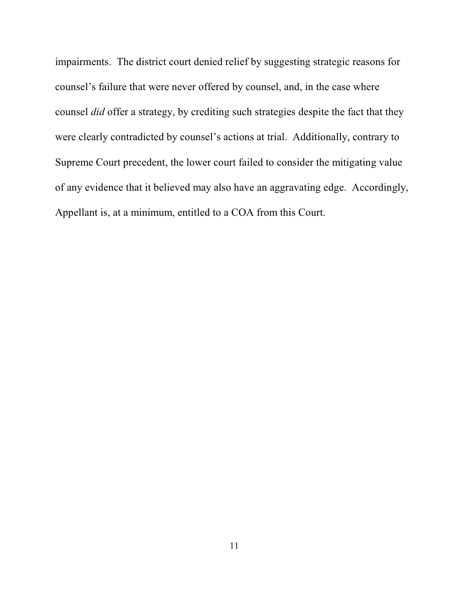impairments. The district court denied relief by suggesting strategic reasons for counsel's failure that were never offered by counsel, and, in the case where counsel *did* offer a strategy, by crediting such strategies despite the fact that they were clearly contradicted by counsel's actions at trial. Additionally, contrary to Supreme Court precedent, the lower court failed to consider the mitigating value of any evidence that it believed may also have an aggravating edge. Accordingly, Appellant is, at a minimum, entitled to a COA from this Court.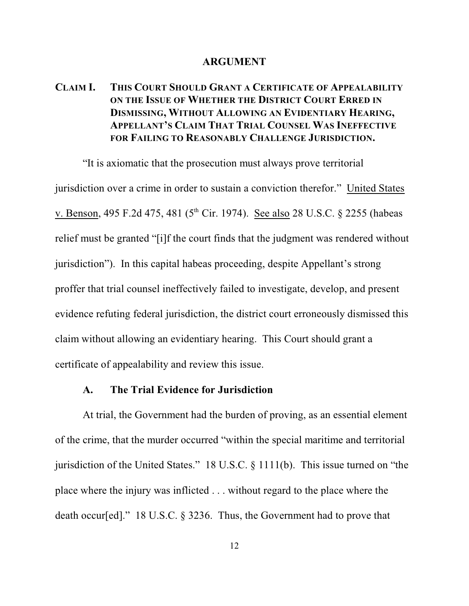#### **ARGUMENT**

## **CLAIM I. THIS COURT SHOULD GRANT A CERTIFICATE OF APPEALABILITY ON THE ISSUE OF WHETHER THE DISTRICT COURT ERRED IN DISMISSING, WITHOUT ALLOWING AN EVIDENTIARY HEARING, APPELLANT'S CLAIM THAT TRIAL COUNSEL WAS INEFFECTIVE FOR FAILING TO REASONABLY CHALLENGE JURISDICTION.**

"It is axiomatic that the prosecution must always prove territorial jurisdiction over a crime in order to sustain a conviction therefor." United States v. Benson, 495 F.2d 475, 481 ( $5<sup>th</sup>$  Cir. 1974). See also 28 U.S.C. § 2255 (habeas relief must be granted "[i]f the court finds that the judgment was rendered without jurisdiction"). In this capital habeas proceeding, despite Appellant's strong proffer that trial counsel ineffectively failed to investigate, develop, and present evidence refuting federal jurisdiction, the district court erroneously dismissed this claim without allowing an evidentiary hearing. This Court should grant a certificate of appealability and review this issue.

#### **A. The Trial Evidence for Jurisdiction**

At trial, the Government had the burden of proving, as an essential element of the crime, that the murder occurred "within the special maritime and territorial jurisdiction of the United States." 18 U.S.C. § 1111(b). This issue turned on "the place where the injury was inflicted . . . without regard to the place where the death occur[ed]." 18 U.S.C. § 3236. Thus, the Government had to prove that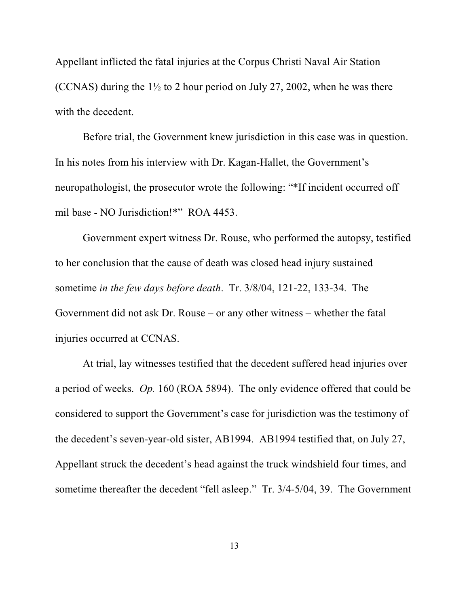Appellant inflicted the fatal injuries at the Corpus Christi Naval Air Station (CCNAS) during the  $1\frac{1}{2}$  to 2 hour period on July 27, 2002, when he was there with the decedent.

Before trial, the Government knew jurisdiction in this case was in question. In his notes from his interview with Dr. Kagan-Hallet, the Government's neuropathologist, the prosecutor wrote the following: "\*If incident occurred off mil base - NO Jurisdiction!\*" ROA 4453.

Government expert witness Dr. Rouse, who performed the autopsy, testified to her conclusion that the cause of death was closed head injury sustained sometime *in the few days before death*. Tr. 3/8/04, 121-22, 133-34. The Government did not ask Dr. Rouse – or any other witness – whether the fatal injuries occurred at CCNAS.

At trial, lay witnesses testified that the decedent suffered head injuries over a period of weeks. *Op.* 160 (ROA 5894). The only evidence offered that could be considered to support the Government's case for jurisdiction was the testimony of the decedent's seven-year-old sister, AB1994. AB1994 testified that, on July 27, Appellant struck the decedent's head against the truck windshield four times, and sometime thereafter the decedent "fell asleep." Tr. 3/4-5/04, 39. The Government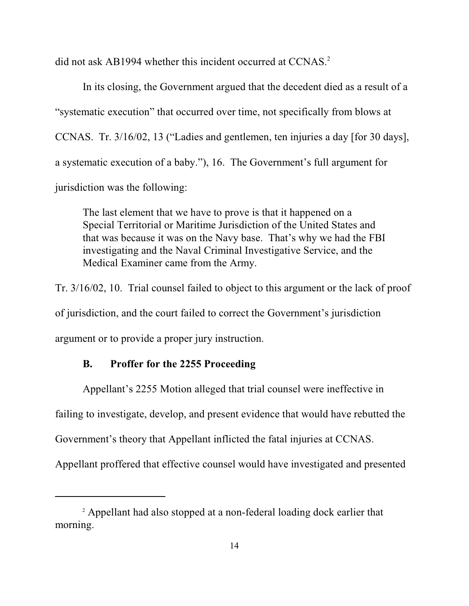did not ask AB1994 whether this incident occurred at CCNAS.<sup>2</sup>

In its closing, the Government argued that the decedent died as a result of a "systematic execution" that occurred over time, not specifically from blows at CCNAS. Tr. 3/16/02, 13 ("Ladies and gentlemen, ten injuries a day [for 30 days], a systematic execution of a baby."), 16. The Government's full argument for jurisdiction was the following:

The last element that we have to prove is that it happened on a Special Territorial or Maritime Jurisdiction of the United States and that was because it was on the Navy base. That's why we had the FBI investigating and the Naval Criminal Investigative Service, and the Medical Examiner came from the Army.

Tr. 3/16/02, 10. Trial counsel failed to object to this argument or the lack of proof of jurisdiction, and the court failed to correct the Government's jurisdiction argument or to provide a proper jury instruction.

#### **B. Proffer for the 2255 Proceeding**

Appellant's 2255 Motion alleged that trial counsel were ineffective in

failing to investigate, develop, and present evidence that would have rebutted the

Government's theory that Appellant inflicted the fatal injuries at CCNAS.

Appellant proffered that effective counsel would have investigated and presented

<sup>&</sup>lt;sup>2</sup> Appellant had also stopped at a non-federal loading dock earlier that morning.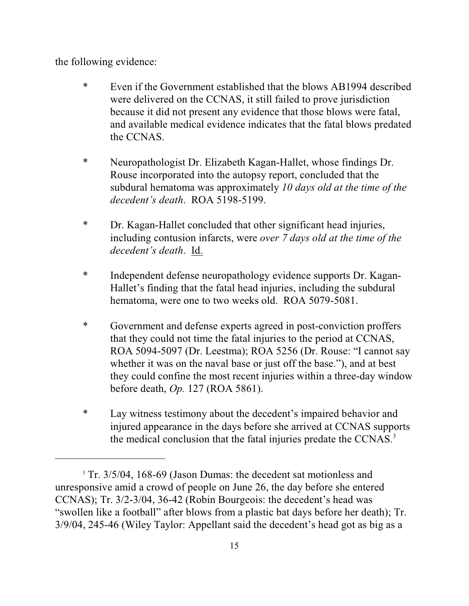the following evidence:

- \* Even if the Government established that the blows AB1994 described were delivered on the CCNAS, it still failed to prove jurisdiction because it did not present any evidence that those blows were fatal, and available medical evidence indicates that the fatal blows predated the CCNAS.
- \* Neuropathologist Dr. Elizabeth Kagan-Hallet, whose findings Dr. Rouse incorporated into the autopsy report, concluded that the subdural hematoma was approximately *10 days old at the time of the decedent's death*. ROA 5198-5199.
- \* Dr. Kagan-Hallet concluded that other significant head injuries, including contusion infarcts, were *over 7 days old at the time of the decedent's death*. Id.
- \* Independent defense neuropathology evidence supports Dr. Kagan-Hallet's finding that the fatal head injuries, including the subdural hematoma, were one to two weeks old. ROA 5079-5081.
- \* Government and defense experts agreed in post-conviction proffers that they could not time the fatal injuries to the period at CCNAS, ROA 5094-5097 (Dr. Leestma); ROA 5256 (Dr. Rouse: "I cannot say whether it was on the naval base or just off the base."), and at best they could confine the most recent injuries within a three-day window before death, *Op.* 127 (ROA 5861).
- \* Lay witness testimony about the decedent's impaired behavior and injured appearance in the days before she arrived at CCNAS supports the medical conclusion that the fatal injuries predate the CCNAS.<sup>3</sup>

<sup>&</sup>lt;sup>3</sup> Tr. 3/5/04, 168-69 (Jason Dumas: the decedent sat motionless and unresponsive amid a crowd of people on June 26, the day before she entered CCNAS); Tr. 3/2-3/04, 36-42 (Robin Bourgeois: the decedent's head was "swollen like a football" after blows from a plastic bat days before her death); Tr. 3/9/04, 245-46 (Wiley Taylor: Appellant said the decedent's head got as big as a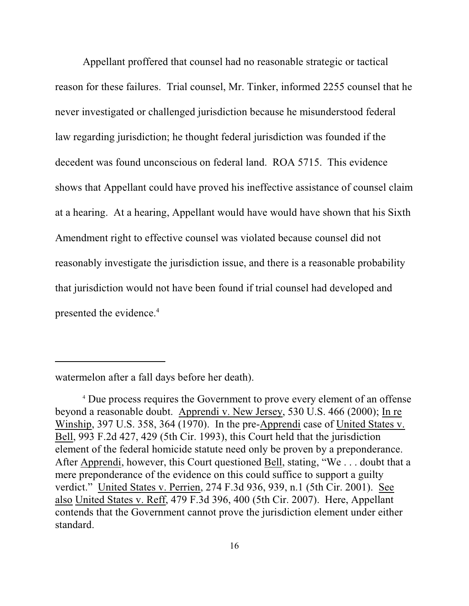Appellant proffered that counsel had no reasonable strategic or tactical reason for these failures. Trial counsel, Mr. Tinker, informed 2255 counsel that he never investigated or challenged jurisdiction because he misunderstood federal law regarding jurisdiction; he thought federal jurisdiction was founded if the decedent was found unconscious on federal land. ROA 5715. This evidence shows that Appellant could have proved his ineffective assistance of counsel claim at a hearing. At a hearing, Appellant would have would have shown that his Sixth Amendment right to effective counsel was violated because counsel did not reasonably investigate the jurisdiction issue, and there is a reasonable probability that jurisdiction would not have been found if trial counsel had developed and presented the evidence.<sup>4</sup>

watermelon after a fall days before her death).

<sup>&</sup>lt;sup>4</sup> Due process requires the Government to prove every element of an offense beyond a reasonable doubt. Apprendi v. New Jersey, 530 U.S. 466 (2000); In re Winship, 397 U.S. 358, 364 (1970). In the pre-Apprendi case of United States v. Bell, 993 F.2d 427, 429 (5th Cir. 1993), this Court held that the jurisdiction element of the federal homicide statute need only be proven by a preponderance. After Apprendi, however, this Court questioned Bell, stating, "We . . . doubt that a mere preponderance of the evidence on this could suffice to support a guilty verdict." United States v. Perrien, 274 F.3d 936, 939, n.1 (5th Cir. 2001). See also United States v. Reff, 479 F.3d 396, 400 (5th Cir. 2007). Here, Appellant contends that the Government cannot prove the jurisdiction element under either standard.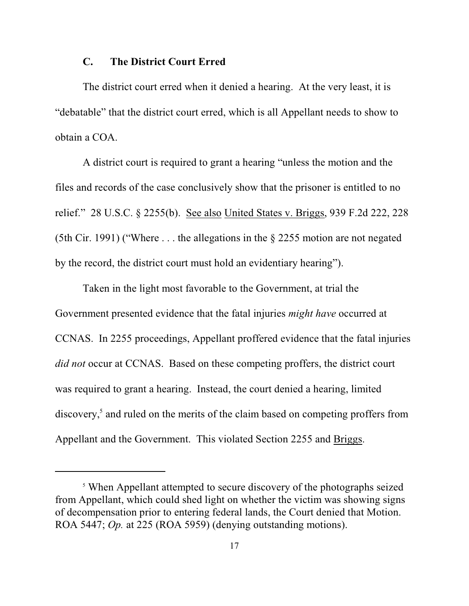#### **C. The District Court Erred**

The district court erred when it denied a hearing. At the very least, it is "debatable" that the district court erred, which is all Appellant needs to show to obtain a COA.

A district court is required to grant a hearing "unless the motion and the files and records of the case conclusively show that the prisoner is entitled to no relief." 28 U.S.C. § 2255(b). See also United States v. Briggs, 939 F.2d 222, 228 (5th Cir. 1991) ("Where . . . the allegations in the § 2255 motion are not negated by the record, the district court must hold an evidentiary hearing").

Taken in the light most favorable to the Government, at trial the Government presented evidence that the fatal injuries *might have* occurred at CCNAS. In 2255 proceedings, Appellant proffered evidence that the fatal injuries *did not* occur at CCNAS. Based on these competing proffers, the district court was required to grant a hearing. Instead, the court denied a hearing, limited discovery,<sup>5</sup> and ruled on the merits of the claim based on competing proffers from Appellant and the Government. This violated Section 2255 and Briggs.

<sup>&</sup>lt;sup>5</sup> When Appellant attempted to secure discovery of the photographs seized from Appellant, which could shed light on whether the victim was showing signs of decompensation prior to entering federal lands, the Court denied that Motion. ROA 5447; *Op.* at 225 (ROA 5959) (denying outstanding motions).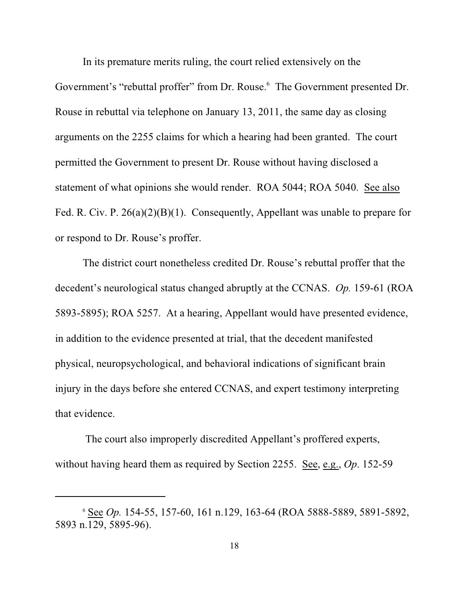In its premature merits ruling, the court relied extensively on the Government's "rebuttal proffer" from Dr. Rouse.<sup>6</sup> The Government presented Dr. Rouse in rebuttal via telephone on January 13, 2011, the same day as closing arguments on the 2255 claims for which a hearing had been granted. The court permitted the Government to present Dr. Rouse without having disclosed a statement of what opinions she would render. ROA 5044; ROA 5040. See also Fed. R. Civ. P. 26(a)(2)(B)(1). Consequently, Appellant was unable to prepare for or respond to Dr. Rouse's proffer.

The district court nonetheless credited Dr. Rouse's rebuttal proffer that the decedent's neurological status changed abruptly at the CCNAS. *Op.* 159-61 (ROA 5893-5895); ROA 5257. At a hearing, Appellant would have presented evidence, in addition to the evidence presented at trial, that the decedent manifested physical, neuropsychological, and behavioral indications of significant brain injury in the days before she entered CCNAS, and expert testimony interpreting that evidence.

 The court also improperly discredited Appellant's proffered experts, without having heard them as required by Section 2255. See, e.g., *Op*. 152-59

<sup>&</sup>lt;sup>6</sup> See *Op*. 154-55, 157-60, 161 n.129, 163-64 (ROA 5888-5889, 5891-5892, 5893 n.129, 5895-96).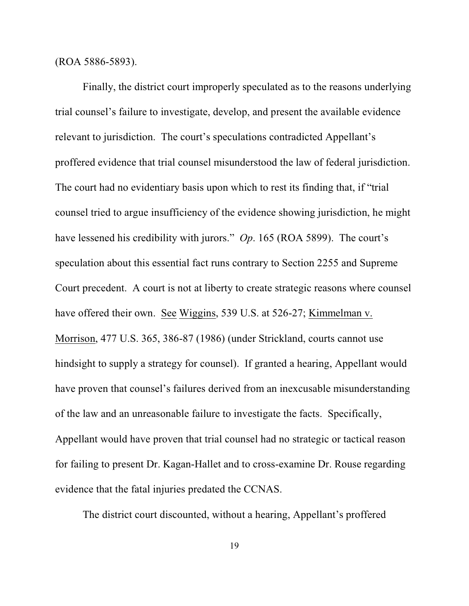(ROA 5886-5893).

Finally, the district court improperly speculated as to the reasons underlying trial counsel's failure to investigate, develop, and present the available evidence relevant to jurisdiction. The court's speculations contradicted Appellant's proffered evidence that trial counsel misunderstood the law of federal jurisdiction. The court had no evidentiary basis upon which to rest its finding that, if "trial counsel tried to argue insufficiency of the evidence showing jurisdiction, he might have lessened his credibility with jurors." *Op*. 165 (ROA 5899). The court's speculation about this essential fact runs contrary to Section 2255 and Supreme Court precedent. A court is not at liberty to create strategic reasons where counsel have offered their own. See Wiggins, 539 U.S. at 526-27; Kimmelman v. Morrison, 477 U.S. 365, 386-87 (1986) (under Strickland, courts cannot use hindsight to supply a strategy for counsel). If granted a hearing, Appellant would have proven that counsel's failures derived from an inexcusable misunderstanding of the law and an unreasonable failure to investigate the facts. Specifically, Appellant would have proven that trial counsel had no strategic or tactical reason for failing to present Dr. Kagan-Hallet and to cross-examine Dr. Rouse regarding evidence that the fatal injuries predated the CCNAS.

The district court discounted, without a hearing, Appellant's proffered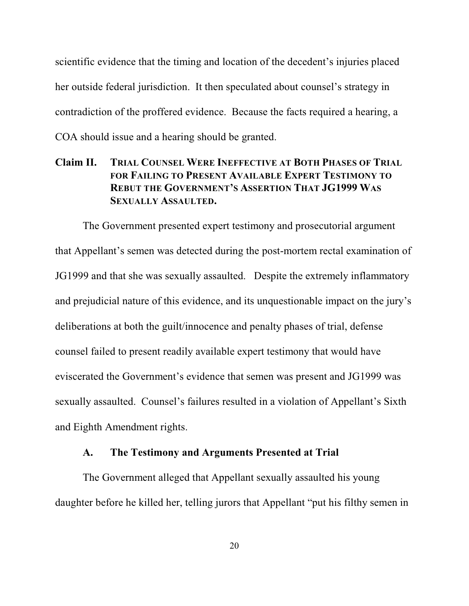scientific evidence that the timing and location of the decedent's injuries placed her outside federal jurisdiction. It then speculated about counsel's strategy in contradiction of the proffered evidence. Because the facts required a hearing, a COA should issue and a hearing should be granted.

## **Claim II. TRIAL COUNSEL WERE INEFFECTIVE AT BOTH PHASES OF TRIAL FOR FAILING TO PRESENT AVAILABLE EXPERT TESTIMONY TO REBUT THE GOVERNMENT'S ASSERTION THAT JG1999 WAS SEXUALLY ASSAULTED.**

The Government presented expert testimony and prosecutorial argument that Appellant's semen was detected during the post-mortem rectal examination of JG1999 and that she was sexually assaulted. Despite the extremely inflammatory and prejudicial nature of this evidence, and its unquestionable impact on the jury's deliberations at both the guilt/innocence and penalty phases of trial, defense counsel failed to present readily available expert testimony that would have eviscerated the Government's evidence that semen was present and JG1999 was sexually assaulted. Counsel's failures resulted in a violation of Appellant's Sixth and Eighth Amendment rights.

## **A. The Testimony and Arguments Presented at Trial**

The Government alleged that Appellant sexually assaulted his young daughter before he killed her, telling jurors that Appellant "put his filthy semen in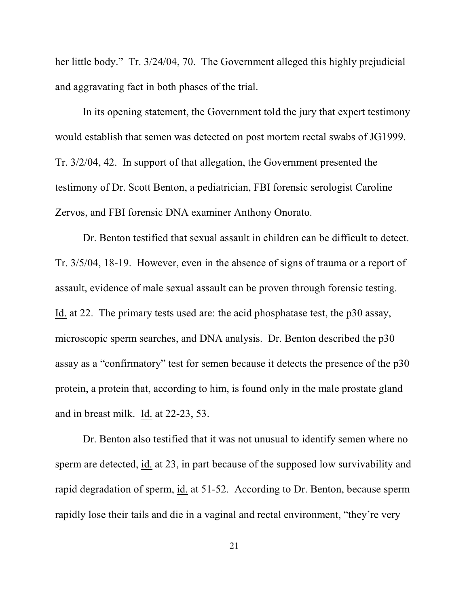her little body." Tr. 3/24/04, 70. The Government alleged this highly prejudicial and aggravating fact in both phases of the trial.

In its opening statement, the Government told the jury that expert testimony would establish that semen was detected on post mortem rectal swabs of JG1999. Tr. 3/2/04, 42. In support of that allegation, the Government presented the testimony of Dr. Scott Benton, a pediatrician, FBI forensic serologist Caroline Zervos, and FBI forensic DNA examiner Anthony Onorato.

Dr. Benton testified that sexual assault in children can be difficult to detect. Tr. 3/5/04, 18-19. However, even in the absence of signs of trauma or a report of assault, evidence of male sexual assault can be proven through forensic testing. Id. at 22. The primary tests used are: the acid phosphatase test, the p30 assay, microscopic sperm searches, and DNA analysis. Dr. Benton described the p30 assay as a "confirmatory" test for semen because it detects the presence of the p30 protein, a protein that, according to him, is found only in the male prostate gland and in breast milk. Id. at 22-23, 53.

Dr. Benton also testified that it was not unusual to identify semen where no sperm are detected, id. at 23, in part because of the supposed low survivability and rapid degradation of sperm, id. at 51-52. According to Dr. Benton, because sperm rapidly lose their tails and die in a vaginal and rectal environment, "they're very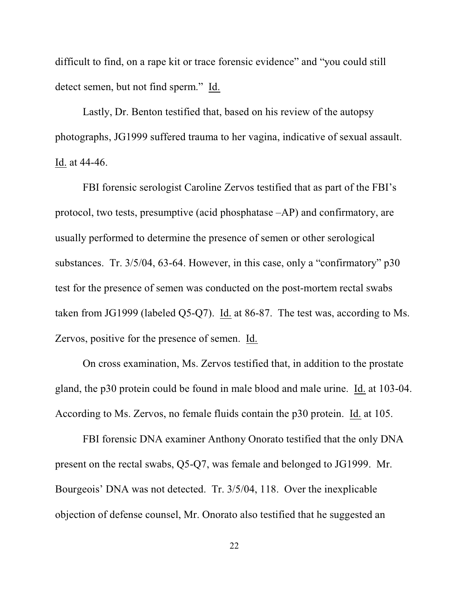difficult to find, on a rape kit or trace forensic evidence" and "you could still detect semen, but not find sperm." Id.

Lastly, Dr. Benton testified that, based on his review of the autopsy photographs, JG1999 suffered trauma to her vagina, indicative of sexual assault. Id. at 44-46.

FBI forensic serologist Caroline Zervos testified that as part of the FBI's protocol, two tests, presumptive (acid phosphatase –AP) and confirmatory, are usually performed to determine the presence of semen or other serological substances. Tr. 3/5/04, 63-64. However, in this case, only a "confirmatory" p30 test for the presence of semen was conducted on the post-mortem rectal swabs taken from JG1999 (labeled Q5-Q7). Id. at 86-87. The test was, according to Ms. Zervos, positive for the presence of semen. Id.

On cross examination, Ms. Zervos testified that, in addition to the prostate gland, the p30 protein could be found in male blood and male urine. Id. at 103-04. According to Ms. Zervos, no female fluids contain the p30 protein. Id. at 105.

FBI forensic DNA examiner Anthony Onorato testified that the only DNA present on the rectal swabs, Q5-Q7, was female and belonged to JG1999. Mr. Bourgeois' DNA was not detected. Tr. 3/5/04, 118. Over the inexplicable objection of defense counsel, Mr. Onorato also testified that he suggested an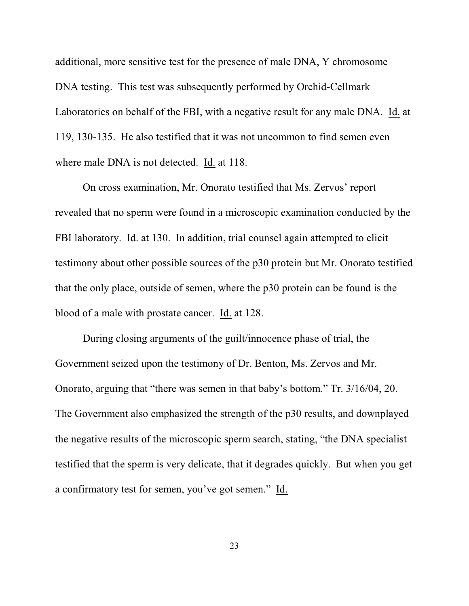additional, more sensitive test for the presence of male DNA, Y chromosome DNA testing. This test was subsequently performed by Orchid-Cellmark Laboratories on behalf of the FBI, with a negative result for any male DNA. Id. at 119, 130-135. He also testified that it was not uncommon to find semen even where male DNA is not detected. Id. at 118.

On cross examination, Mr. Onorato testified that Ms. Zervos' report revealed that no sperm were found in a microscopic examination conducted by the FBI laboratory. Id. at 130. In addition, trial counsel again attempted to elicit testimony about other possible sources of the p30 protein but Mr. Onorato testified that the only place, outside of semen, where the p30 protein can be found is the blood of a male with prostate cancer. Id. at 128.

During closing arguments of the guilt/innocence phase of trial, the Government seized upon the testimony of Dr. Benton, Ms. Zervos and Mr. Onorato, arguing that "there was semen in that baby's bottom." Tr. 3/16/04, 20. The Government also emphasized the strength of the p30 results, and downplayed the negative results of the microscopic sperm search, stating, "the DNA specialist testified that the sperm is very delicate, that it degrades quickly. But when you get a confirmatory test for semen, you've got semen." Id.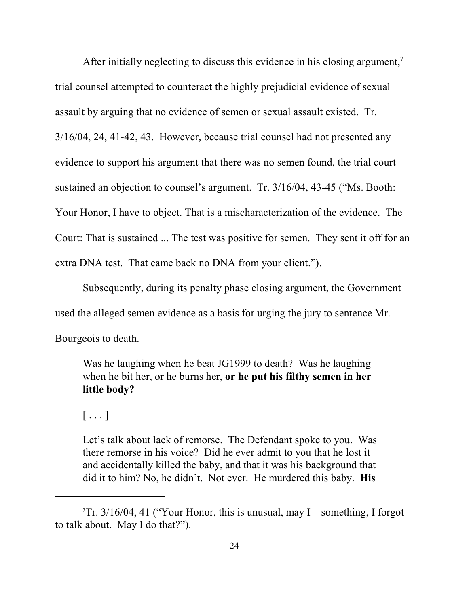After initially neglecting to discuss this evidence in his closing argument,<sup>7</sup> trial counsel attempted to counteract the highly prejudicial evidence of sexual assault by arguing that no evidence of semen or sexual assault existed. Tr. 3/16/04, 24, 41-42, 43. However, because trial counsel had not presented any evidence to support his argument that there was no semen found, the trial court sustained an objection to counsel's argument. Tr. 3/16/04, 43-45 ("Ms. Booth: Your Honor, I have to object. That is a mischaracterization of the evidence. The Court: That is sustained ... The test was positive for semen. They sent it off for an extra DNA test. That came back no DNA from your client.").

Subsequently, during its penalty phase closing argument, the Government used the alleged semen evidence as a basis for urging the jury to sentence Mr. Bourgeois to death.

Was he laughing when he beat JG1999 to death? Was he laughing when he bit her, or he burns her, **or he put his filthy semen in her little body?** 

 $[\ldots]$ 

Let's talk about lack of remorse. The Defendant spoke to you. Was there remorse in his voice? Did he ever admit to you that he lost it and accidentally killed the baby, and that it was his background that did it to him? No, he didn't. Not ever. He murdered this baby. **His**

<sup>&</sup>lt;sup>7</sup>Tr. 3/16/04, 41 ("Your Honor, this is unusual, may I – something, I forgot to talk about. May I do that?").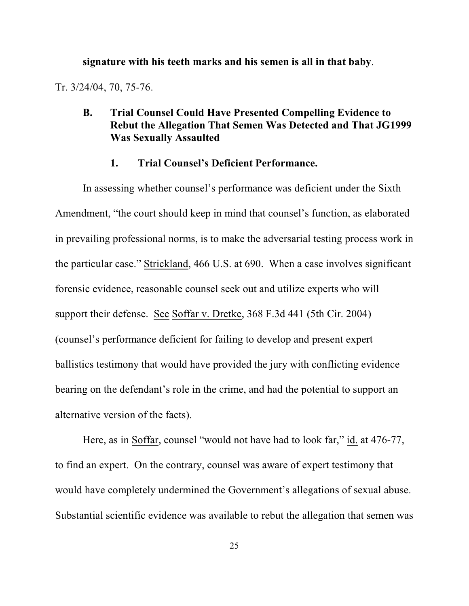**signature with his teeth marks and his semen is all in that baby**.

Tr. 3/24/04, 70, 75-76.

## **B. Trial Counsel Could Have Presented Compelling Evidence to Rebut the Allegation That Semen Was Detected and That JG1999 Was Sexually Assaulted**

#### **1. Trial Counsel's Deficient Performance.**

In assessing whether counsel's performance was deficient under the Sixth Amendment, "the court should keep in mind that counsel's function, as elaborated in prevailing professional norms, is to make the adversarial testing process work in the particular case." Strickland, 466 U.S. at 690. When a case involves significant forensic evidence, reasonable counsel seek out and utilize experts who will support their defense. See Soffar v. Dretke, 368 F.3d 441 (5th Cir. 2004) (counsel's performance deficient for failing to develop and present expert ballistics testimony that would have provided the jury with conflicting evidence bearing on the defendant's role in the crime, and had the potential to support an alternative version of the facts).

Here, as in Soffar, counsel "would not have had to look far," id. at 476-77, to find an expert. On the contrary, counsel was aware of expert testimony that would have completely undermined the Government's allegations of sexual abuse. Substantial scientific evidence was available to rebut the allegation that semen was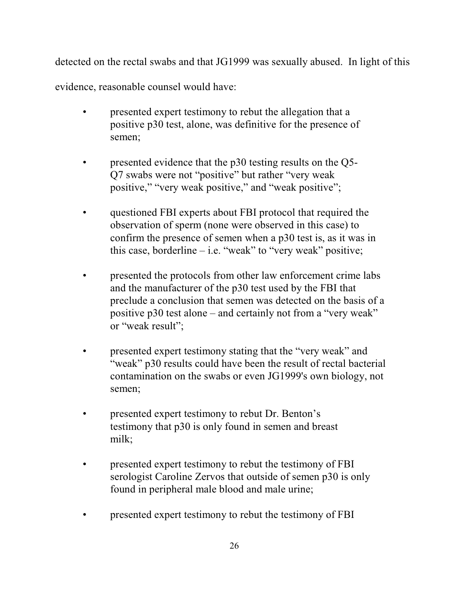detected on the rectal swabs and that JG1999 was sexually abused. In light of this

evidence, reasonable counsel would have:

- presented expert testimony to rebut the allegation that a positive p30 test, alone, was definitive for the presence of semen;
- presented evidence that the p30 testing results on the Q5-Q7 swabs were not "positive" but rather "very weak positive," "very weak positive," and "weak positive";
- questioned FBI experts about FBI protocol that required the observation of sperm (none were observed in this case) to confirm the presence of semen when a p30 test is, as it was in this case, borderline  $-$  i.e. "weak" to "very weak" positive;
- presented the protocols from other law enforcement crime labs and the manufacturer of the p30 test used by the FBI that preclude a conclusion that semen was detected on the basis of a positive p30 test alone – and certainly not from a "very weak" or "weak result";
- presented expert testimony stating that the "very weak" and "weak" p30 results could have been the result of rectal bacterial contamination on the swabs or even JG1999's own biology, not semen;
- presented expert testimony to rebut Dr. Benton's testimony that p30 is only found in semen and breast milk;
- presented expert testimony to rebut the testimony of FBI serologist Caroline Zervos that outside of semen p30 is only found in peripheral male blood and male urine;
- presented expert testimony to rebut the testimony of FBI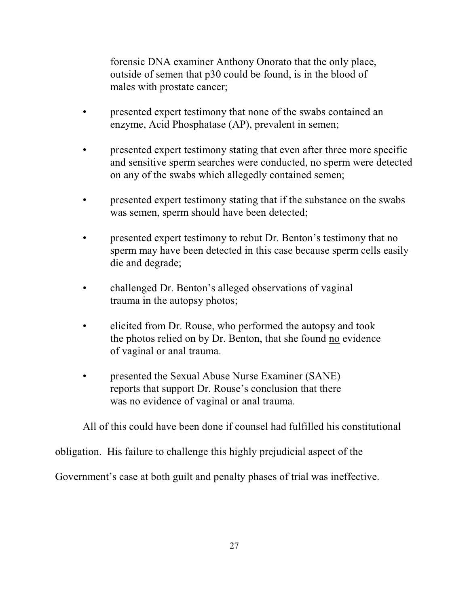forensic DNA examiner Anthony Onorato that the only place, outside of semen that p30 could be found, is in the blood of males with prostate cancer;

- presented expert testimony that none of the swabs contained an enzyme, Acid Phosphatase (AP), prevalent in semen;
- presented expert testimony stating that even after three more specific and sensitive sperm searches were conducted, no sperm were detected on any of the swabs which allegedly contained semen;
- presented expert testimony stating that if the substance on the swabs was semen, sperm should have been detected;
- presented expert testimony to rebut Dr. Benton's testimony that no sperm may have been detected in this case because sperm cells easily die and degrade;
- challenged Dr. Benton's alleged observations of vaginal trauma in the autopsy photos;
- elicited from Dr. Rouse, who performed the autopsy and took the photos relied on by Dr. Benton, that she found no evidence of vaginal or anal trauma.
- presented the Sexual Abuse Nurse Examiner (SANE) reports that support Dr. Rouse's conclusion that there was no evidence of vaginal or anal trauma.

All of this could have been done if counsel had fulfilled his constitutional

obligation. His failure to challenge this highly prejudicial aspect of the

Government's case at both guilt and penalty phases of trial was ineffective.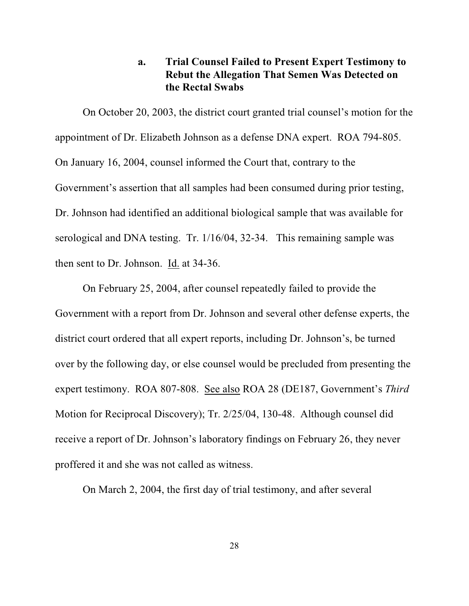## **a. Trial Counsel Failed to Present Expert Testimony to Rebut the Allegation That Semen Was Detected on the Rectal Swabs**

On October 20, 2003, the district court granted trial counsel's motion for the appointment of Dr. Elizabeth Johnson as a defense DNA expert. ROA 794-805. On January 16, 2004, counsel informed the Court that, contrary to the Government's assertion that all samples had been consumed during prior testing, Dr. Johnson had identified an additional biological sample that was available for serological and DNA testing. Tr. 1/16/04, 32-34. This remaining sample was then sent to Dr. Johnson. Id. at 34-36.

On February 25, 2004, after counsel repeatedly failed to provide the Government with a report from Dr. Johnson and several other defense experts, the district court ordered that all expert reports, including Dr. Johnson's, be turned over by the following day, or else counsel would be precluded from presenting the expert testimony. ROA 807-808. See also ROA 28 (DE187, Government's *Third* Motion for Reciprocal Discovery); Tr. 2/25/04, 130-48. Although counsel did receive a report of Dr. Johnson's laboratory findings on February 26, they never proffered it and she was not called as witness.

On March 2, 2004, the first day of trial testimony, and after several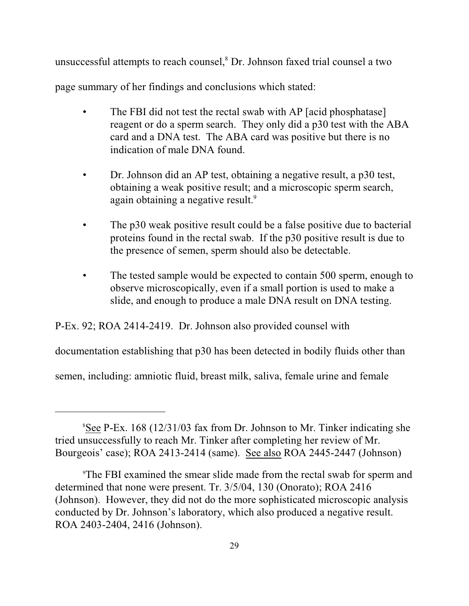unsuccessful attempts to reach counsel, ${}^{8}$  Dr. Johnson faxed trial counsel a two

page summary of her findings and conclusions which stated:

- The FBI did not test the rectal swab with AP [acid phosphatase] reagent or do a sperm search. They only did a p30 test with the ABA card and a DNA test. The ABA card was positive but there is no indication of male DNA found.
- Dr. Johnson did an AP test, obtaining a negative result, a p30 test, obtaining a weak positive result; and a microscopic sperm search, again obtaining a negative result.<sup>9</sup>
- The p30 weak positive result could be a false positive due to bacterial proteins found in the rectal swab. If the p30 positive result is due to the presence of semen, sperm should also be detectable.
- The tested sample would be expected to contain 500 sperm, enough to observe microscopically, even if a small portion is used to make a slide, and enough to produce a male DNA result on DNA testing.

P-Ex. 92; ROA 2414-2419. Dr. Johnson also provided counsel with

documentation establishing that p30 has been detected in bodily fluids other than

semen, including: amniotic fluid, breast milk, saliva, female urine and female

 ${}^{8}$ See P-Ex. 168 (12/31/03 fax from Dr. Johnson to Mr. Tinker indicating she tried unsuccessfully to reach Mr. Tinker after completing her review of Mr. Bourgeois' case); ROA 2413-2414 (same). See also ROA 2445-2447 (Johnson)

The FBI examined the smear slide made from the rectal swab for sperm and 9 determined that none were present. Tr. 3/5/04, 130 (Onorato); ROA 2416 (Johnson). However, they did not do the more sophisticated microscopic analysis conducted by Dr. Johnson's laboratory, which also produced a negative result. ROA 2403-2404, 2416 (Johnson).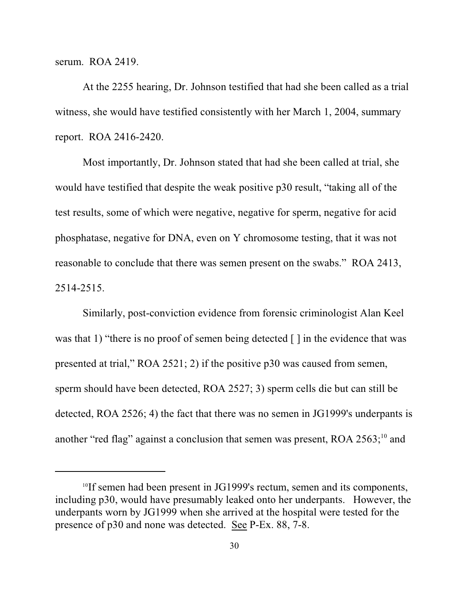serum. ROA 2419.

At the 2255 hearing, Dr. Johnson testified that had she been called as a trial witness, she would have testified consistently with her March 1, 2004, summary report. ROA 2416-2420.

Most importantly, Dr. Johnson stated that had she been called at trial, she would have testified that despite the weak positive p30 result, "taking all of the test results, some of which were negative, negative for sperm, negative for acid phosphatase, negative for DNA, even on Y chromosome testing, that it was not reasonable to conclude that there was semen present on the swabs." ROA 2413, 2514-2515.

Similarly, post-conviction evidence from forensic criminologist Alan Keel was that 1) "there is no proof of semen being detected  $\lceil \cdot \rceil$  in the evidence that was presented at trial," ROA 2521; 2) if the positive p30 was caused from semen, sperm should have been detected, ROA 2527; 3) sperm cells die but can still be detected, ROA 2526; 4) the fact that there was no semen in JG1999's underpants is another "red flag" against a conclusion that semen was present, ROA  $2563$ ;<sup>10</sup> and

 $10$ If semen had been present in JG1999's rectum, semen and its components, including p30, would have presumably leaked onto her underpants. However, the underpants worn by JG1999 when she arrived at the hospital were tested for the presence of p30 and none was detected. See P-Ex. 88, 7-8.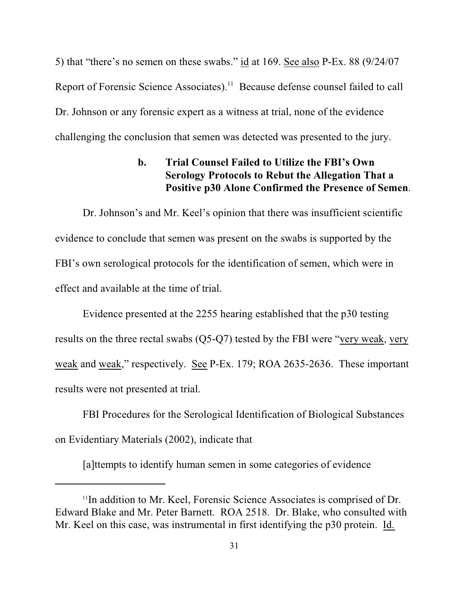5) that "there's no semen on these swabs." id at 169. See also P-Ex. 88 (9/24/07 Report of Forensic Science Associates).<sup>11</sup> Because defense counsel failed to call Dr. Johnson or any forensic expert as a witness at trial, none of the evidence challenging the conclusion that semen was detected was presented to the jury.

# **b. Trial Counsel Failed to Utilize the FBI's Own Serology Protocols to Rebut the Allegation That a Positive p30 Alone Confirmed the Presence of Semen**.

Dr. Johnson's and Mr. Keel's opinion that there was insufficient scientific evidence to conclude that semen was present on the swabs is supported by the FBI's own serological protocols for the identification of semen, which were in effect and available at the time of trial.

Evidence presented at the 2255 hearing established that the p30 testing results on the three rectal swabs (Q5-Q7) tested by the FBI were "very weak, very weak and weak," respectively. See P-Ex. 179; ROA 2635-2636. These important results were not presented at trial.

FBI Procedures for the Serological Identification of Biological Substances on Evidentiary Materials (2002), indicate that

[a]ttempts to identify human semen in some categories of evidence

 $\rm{^{11}In}$  addition to Mr. Keel, Forensic Science Associates is comprised of Dr. Edward Blake and Mr. Peter Barnett. ROA 2518. Dr. Blake, who consulted with Mr. Keel on this case, was instrumental in first identifying the p30 protein. Id.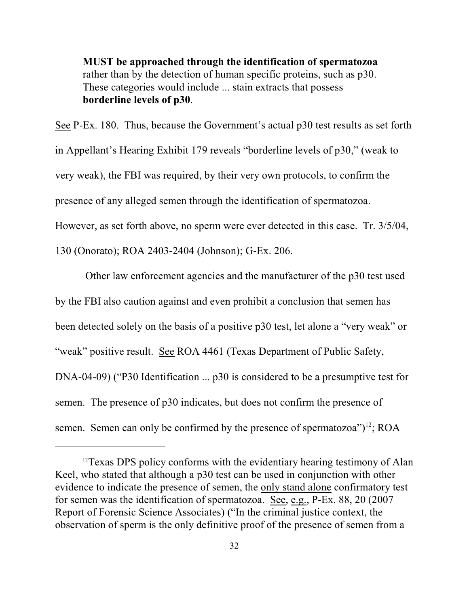**MUST be approached through the identification of spermatozoa** rather than by the detection of human specific proteins, such as p30. These categories would include ... stain extracts that possess **borderline levels of p30**.

See P-Ex. 180. Thus, because the Government's actual p30 test results as set forth in Appellant's Hearing Exhibit 179 reveals "borderline levels of p30," (weak to very weak), the FBI was required, by their very own protocols, to confirm the presence of any alleged semen through the identification of spermatozoa. However, as set forth above, no sperm were ever detected in this case. Tr. 3/5/04, 130 (Onorato); ROA 2403-2404 (Johnson); G-Ex. 206.

 Other law enforcement agencies and the manufacturer of the p30 test used by the FBI also caution against and even prohibit a conclusion that semen has been detected solely on the basis of a positive p30 test, let alone a "very weak" or "weak" positive result. See ROA 4461 (Texas Department of Public Safety, DNA-04-09) ("P30 Identification ... p30 is considered to be a presumptive test for semen. The presence of p30 indicates, but does not confirm the presence of semen. Semen can only be confirmed by the presence of spermatozoa") $^{12}$ ; ROA

 $12$ Texas DPS policy conforms with the evidentiary hearing testimony of Alan Keel, who stated that although a p30 test can be used in conjunction with other evidence to indicate the presence of semen, the only stand alone confirmatory test for semen was the identification of spermatozoa. See, e.g., P-Ex. 88, 20 (2007 Report of Forensic Science Associates) ("In the criminal justice context, the observation of sperm is the only definitive proof of the presence of semen from a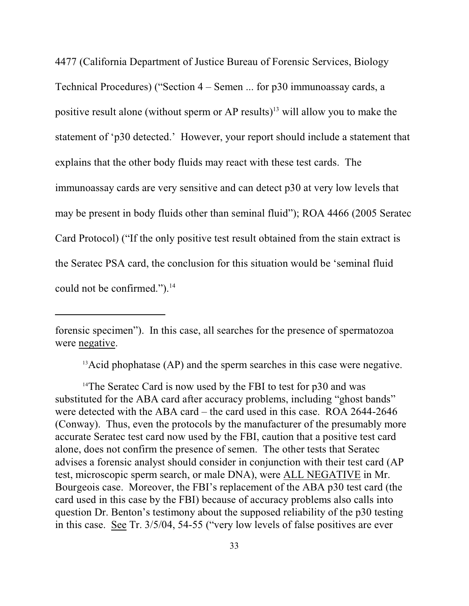4477 (California Department of Justice Bureau of Forensic Services, Biology Technical Procedures) ("Section 4 – Semen ... for p30 immunoassay cards, a positive result alone (without sperm or AP results) $^{13}$  will allow you to make the statement of 'p30 detected.' However, your report should include a statement that explains that the other body fluids may react with these test cards. The immunoassay cards are very sensitive and can detect p30 at very low levels that may be present in body fluids other than seminal fluid"); ROA 4466 (2005 Seratec Card Protocol) ("If the only positive test result obtained from the stain extract is the Seratec PSA card, the conclusion for this situation would be 'seminal fluid could not be confirmed."). $14$ 

forensic specimen"). In this case, all searches for the presence of spermatozoa were negative.

 $^{13}$ Acid phophatase (AP) and the sperm searches in this case were negative.

<sup>14</sup>The Seratec Card is now used by the FBI to test for  $p30$  and was substituted for the ABA card after accuracy problems, including "ghost bands" were detected with the ABA card – the card used in this case. ROA 2644-2646 (Conway). Thus, even the protocols by the manufacturer of the presumably more accurate Seratec test card now used by the FBI, caution that a positive test card alone, does not confirm the presence of semen. The other tests that Seratec advises a forensic analyst should consider in conjunction with their test card (AP test, microscopic sperm search, or male DNA), were ALL NEGATIVE in Mr. Bourgeois case. Moreover, the FBI's replacement of the ABA p30 test card (the card used in this case by the FBI) because of accuracy problems also calls into question Dr. Benton's testimony about the supposed reliability of the p30 testing in this case. See Tr. 3/5/04, 54-55 ("very low levels of false positives are ever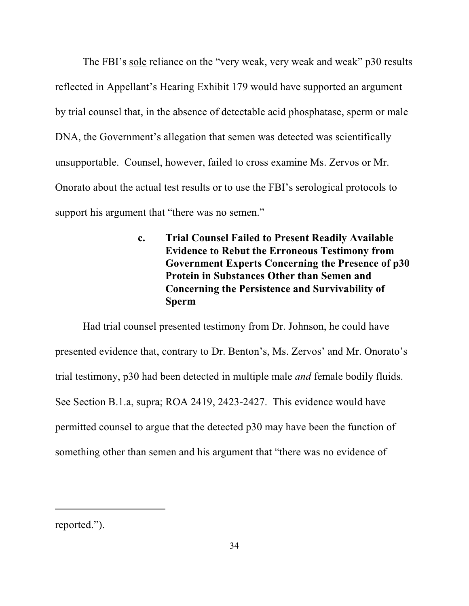The FBI's sole reliance on the "very weak, very weak and weak" p30 results reflected in Appellant's Hearing Exhibit 179 would have supported an argument by trial counsel that, in the absence of detectable acid phosphatase, sperm or male DNA, the Government's allegation that semen was detected was scientifically unsupportable. Counsel, however, failed to cross examine Ms. Zervos or Mr. Onorato about the actual test results or to use the FBI's serological protocols to support his argument that "there was no semen."

> **c. Trial Counsel Failed to Present Readily Available Evidence to Rebut the Erroneous Testimony from Government Experts Concerning the Presence of p30 Protein in Substances Other than Semen and Concerning the Persistence and Survivability of Sperm**

Had trial counsel presented testimony from Dr. Johnson, he could have presented evidence that, contrary to Dr. Benton's, Ms. Zervos' and Mr. Onorato's trial testimony, p30 had been detected in multiple male *and* female bodily fluids. See Section B.1.a, supra; ROA 2419, 2423-2427. This evidence would have permitted counsel to argue that the detected p30 may have been the function of something other than semen and his argument that "there was no evidence of

reported.").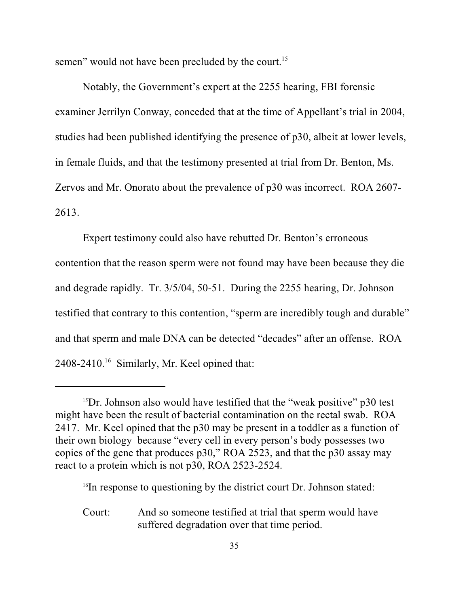semen" would not have been precluded by the court.<sup>15</sup>

Notably, the Government's expert at the 2255 hearing, FBI forensic examiner Jerrilyn Conway, conceded that at the time of Appellant's trial in 2004, studies had been published identifying the presence of p30, albeit at lower levels, in female fluids, and that the testimony presented at trial from Dr. Benton, Ms. Zervos and Mr. Onorato about the prevalence of p30 was incorrect. ROA 2607- 2613.

Expert testimony could also have rebutted Dr. Benton's erroneous contention that the reason sperm were not found may have been because they die and degrade rapidly. Tr. 3/5/04, 50-51. During the 2255 hearing, Dr. Johnson testified that contrary to this contention, "sperm are incredibly tough and durable" and that sperm and male DNA can be detected "decades" after an offense. ROA  $2408 - 2410$ .<sup>16</sup> Similarly, Mr. Keel opined that:

<sup>16</sup>In response to questioning by the district court Dr. Johnson stated:

Court: And so someone testified at trial that sperm would have suffered degradation over that time period.

 $15$ Dr. Johnson also would have testified that the "weak positive" p30 test might have been the result of bacterial contamination on the rectal swab. ROA 2417. Mr. Keel opined that the p30 may be present in a toddler as a function of their own biology because "every cell in every person's body possesses two copies of the gene that produces p30," ROA 2523, and that the p30 assay may react to a protein which is not p30, ROA 2523-2524.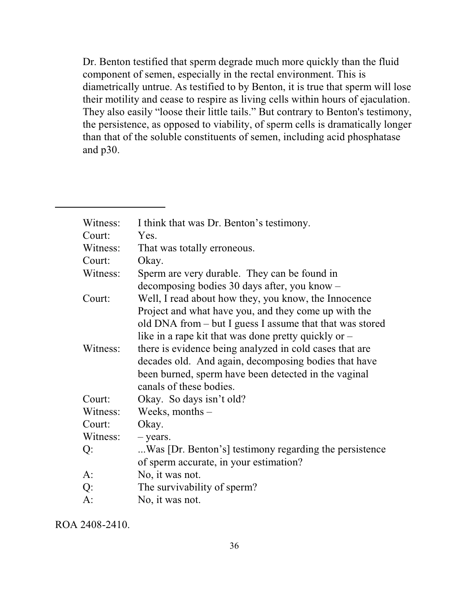Dr. Benton testified that sperm degrade much more quickly than the fluid component of semen, especially in the rectal environment. This is diametrically untrue. As testified to by Benton, it is true that sperm will lose their motility and cease to respire as living cells within hours of ejaculation. They also easily "loose their little tails." But contrary to Benton's testimony, the persistence, as opposed to viability, of sperm cells is dramatically longer than that of the soluble constituents of semen, including acid phosphatase and p30.

| Witness:<br>Court: | I think that was Dr. Benton's testimony.<br>Yes.         |
|--------------------|----------------------------------------------------------|
| Witness:           | That was totally erroneous.                              |
| Court:             | Okay.                                                    |
| Witness:           | Sperm are very durable. They can be found in             |
|                    | decomposing bodies 30 days after, you know –             |
|                    |                                                          |
| Court:             | Well, I read about how they, you know, the Innocence     |
|                    | Project and what have you, and they come up with the     |
|                    | old DNA from – but I guess I assume that that was stored |
|                    | like in a rape kit that was done pretty quickly or $-$   |
| Witness:           | there is evidence being analyzed in cold cases that are  |
|                    | decades old. And again, decomposing bodies that have     |
|                    | been burned, sperm have been detected in the vaginal     |
|                    | canals of these bodies.                                  |
| Court:             | Okay. So days isn't old?                                 |
| Witness:           | Weeks, months $-$                                        |
| Court:             | Okay.                                                    |
| Witness:           | $-$ years.                                               |
| Q:                 | Was [Dr. Benton's] testimony regarding the persistence   |
|                    | of sperm accurate, in your estimation?                   |
| $A$ :              | No, it was not.                                          |
| Q:                 | The survivability of sperm?                              |
| $A$ :              | No, it was not.                                          |
|                    |                                                          |

ROA 2408-2410.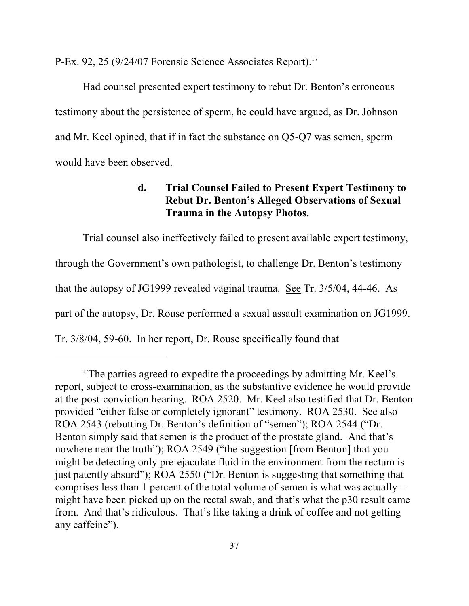P-Ex. 92, 25 (9/24/07 Forensic Science Associates Report).<sup>17</sup>

Had counsel presented expert testimony to rebut Dr. Benton's erroneous testimony about the persistence of sperm, he could have argued, as Dr. Johnson and Mr. Keel opined, that if in fact the substance on Q5-Q7 was semen, sperm would have been observed.

# **d. Trial Counsel Failed to Present Expert Testimony to Rebut Dr. Benton's Alleged Observations of Sexual Trauma in the Autopsy Photos.**

Trial counsel also ineffectively failed to present available expert testimony, through the Government's own pathologist, to challenge Dr. Benton's testimony that the autopsy of JG1999 revealed vaginal trauma. See Tr. 3/5/04, 44-46. As part of the autopsy, Dr. Rouse performed a sexual assault examination on JG1999. Tr. 3/8/04, 59-60. In her report, Dr. Rouse specifically found that

<sup>&</sup>lt;sup>17</sup>The parties agreed to expedite the proceedings by admitting Mr. Keel's report, subject to cross-examination, as the substantive evidence he would provide at the post-conviction hearing. ROA 2520. Mr. Keel also testified that Dr. Benton provided "either false or completely ignorant" testimony. ROA 2530. See also ROA 2543 (rebutting Dr. Benton's definition of "semen"); ROA 2544 ("Dr. Benton simply said that semen is the product of the prostate gland. And that's nowhere near the truth"); ROA 2549 ("the suggestion [from Benton] that you might be detecting only pre-ejaculate fluid in the environment from the rectum is just patently absurd"); ROA 2550 ("Dr. Benton is suggesting that something that comprises less than 1 percent of the total volume of semen is what was actually – might have been picked up on the rectal swab, and that's what the p30 result came from. And that's ridiculous. That's like taking a drink of coffee and not getting any caffeine").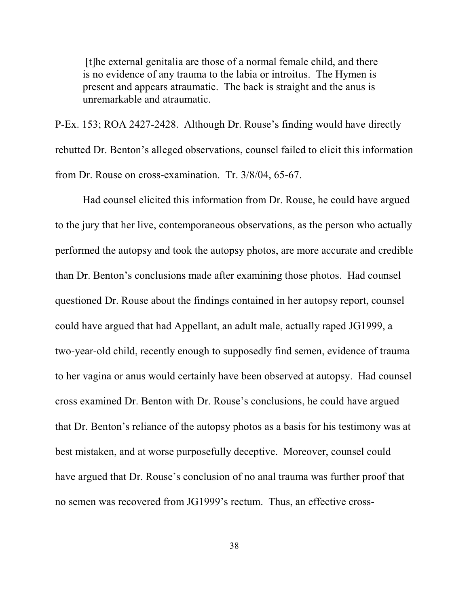[t]he external genitalia are those of a normal female child, and there is no evidence of any trauma to the labia or introitus. The Hymen is present and appears atraumatic. The back is straight and the anus is unremarkable and atraumatic.

P-Ex. 153; ROA 2427-2428. Although Dr. Rouse's finding would have directly rebutted Dr. Benton's alleged observations, counsel failed to elicit this information from Dr. Rouse on cross-examination. Tr. 3/8/04, 65-67.

Had counsel elicited this information from Dr. Rouse, he could have argued to the jury that her live, contemporaneous observations, as the person who actually performed the autopsy and took the autopsy photos, are more accurate and credible than Dr. Benton's conclusions made after examining those photos. Had counsel questioned Dr. Rouse about the findings contained in her autopsy report, counsel could have argued that had Appellant, an adult male, actually raped JG1999, a two-year-old child, recently enough to supposedly find semen, evidence of trauma to her vagina or anus would certainly have been observed at autopsy. Had counsel cross examined Dr. Benton with Dr. Rouse's conclusions, he could have argued that Dr. Benton's reliance of the autopsy photos as a basis for his testimony was at best mistaken, and at worse purposefully deceptive. Moreover, counsel could have argued that Dr. Rouse's conclusion of no anal trauma was further proof that no semen was recovered from JG1999's rectum. Thus, an effective cross-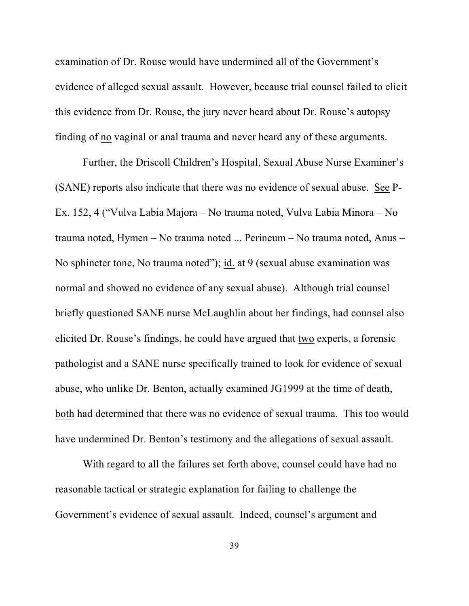examination of Dr. Rouse would have undermined all of the Government's evidence of alleged sexual assault. However, because trial counsel failed to elicit this evidence from Dr. Rouse, the jury never heard about Dr. Rouse's autopsy finding of no vaginal or anal trauma and never heard any of these arguments.

Further, the Driscoll Children's Hospital, Sexual Abuse Nurse Examiner's (SANE) reports also indicate that there was no evidence of sexual abuse. See P-Ex. 152, 4 ("Vulva Labia Majora – No trauma noted, Vulva Labia Minora – No trauma noted, Hymen – No trauma noted ... Perineum – No trauma noted, Anus – No sphincter tone, No trauma noted"); id. at 9 (sexual abuse examination was normal and showed no evidence of any sexual abuse). Although trial counsel briefly questioned SANE nurse McLaughlin about her findings, had counsel also elicited Dr. Rouse's findings, he could have argued that two experts, a forensic pathologist and a SANE nurse specifically trained to look for evidence of sexual abuse, who unlike Dr. Benton, actually examined JG1999 at the time of death, both had determined that there was no evidence of sexual trauma. This too would have undermined Dr. Benton's testimony and the allegations of sexual assault.

With regard to all the failures set forth above, counsel could have had no reasonable tactical or strategic explanation for failing to challenge the Government's evidence of sexual assault. Indeed, counsel's argument and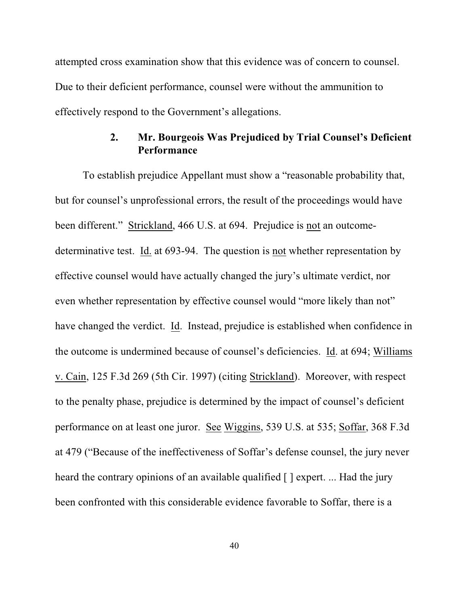attempted cross examination show that this evidence was of concern to counsel. Due to their deficient performance, counsel were without the ammunition to effectively respond to the Government's allegations.

# **2. Mr. Bourgeois Was Prejudiced by Trial Counsel's Deficient Performance**

To establish prejudice Appellant must show a "reasonable probability that, but for counsel's unprofessional errors, the result of the proceedings would have been different." Strickland, 466 U.S. at 694. Prejudice is not an outcomedeterminative test. Id. at 693-94. The question is not whether representation by effective counsel would have actually changed the jury's ultimate verdict, nor even whether representation by effective counsel would "more likely than not" have changed the verdict. Id. Instead, prejudice is established when confidence in the outcome is undermined because of counsel's deficiencies. Id. at 694; Williams v. Cain, 125 F.3d 269 (5th Cir. 1997) (citing Strickland). Moreover, with respect to the penalty phase, prejudice is determined by the impact of counsel's deficient performance on at least one juror. See Wiggins, 539 U.S. at 535; Soffar, 368 F.3d at 479 ("Because of the ineffectiveness of Soffar's defense counsel, the jury never heard the contrary opinions of an available qualified  $\lceil \cdot \rceil$  expert. ... Had the jury been confronted with this considerable evidence favorable to Soffar, there is a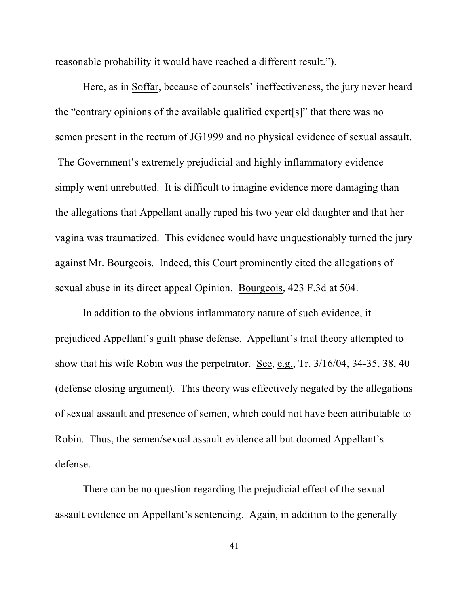reasonable probability it would have reached a different result.").

Here, as in Soffar, because of counsels' ineffectiveness, the jury never heard the "contrary opinions of the available qualified expert[s]" that there was no semen present in the rectum of JG1999 and no physical evidence of sexual assault. The Government's extremely prejudicial and highly inflammatory evidence simply went unrebutted. It is difficult to imagine evidence more damaging than the allegations that Appellant anally raped his two year old daughter and that her vagina was traumatized. This evidence would have unquestionably turned the jury against Mr. Bourgeois. Indeed, this Court prominently cited the allegations of sexual abuse in its direct appeal Opinion. Bourgeois, 423 F.3d at 504.

In addition to the obvious inflammatory nature of such evidence, it prejudiced Appellant's guilt phase defense. Appellant's trial theory attempted to show that his wife Robin was the perpetrator. See, e.g., Tr. 3/16/04, 34-35, 38, 40 (defense closing argument). This theory was effectively negated by the allegations of sexual assault and presence of semen, which could not have been attributable to Robin. Thus, the semen/sexual assault evidence all but doomed Appellant's defense.

There can be no question regarding the prejudicial effect of the sexual assault evidence on Appellant's sentencing. Again, in addition to the generally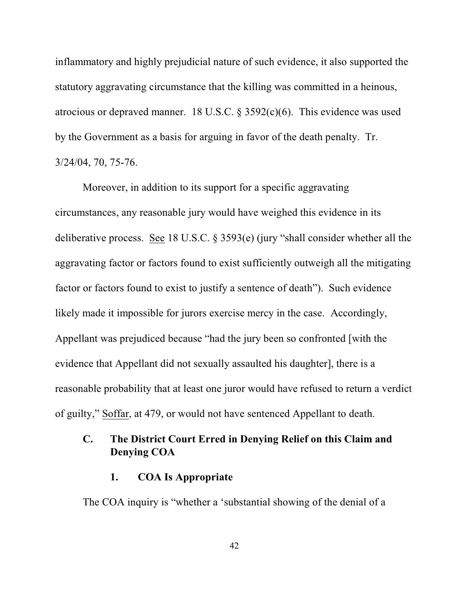inflammatory and highly prejudicial nature of such evidence, it also supported the statutory aggravating circumstance that the killing was committed in a heinous, atrocious or depraved manner. 18 U.S.C. § 3592(c)(6). This evidence was used by the Government as a basis for arguing in favor of the death penalty. Tr. 3/24/04, 70, 75-76.

Moreover, in addition to its support for a specific aggravating circumstances, any reasonable jury would have weighed this evidence in its deliberative process. See 18 U.S.C. § 3593(e) (jury "shall consider whether all the aggravating factor or factors found to exist sufficiently outweigh all the mitigating factor or factors found to exist to justify a sentence of death"). Such evidence likely made it impossible for jurors exercise mercy in the case. Accordingly, Appellant was prejudiced because "had the jury been so confronted [with the evidence that Appellant did not sexually assaulted his daughter], there is a reasonable probability that at least one juror would have refused to return a verdict of guilty," Soffar, at 479, or would not have sentenced Appellant to death.

# **C. The District Court Erred in Denying Relief on this Claim and Denying COA**

### **1. COA Is Appropriate**

The COA inquiry is "whether a 'substantial showing of the denial of a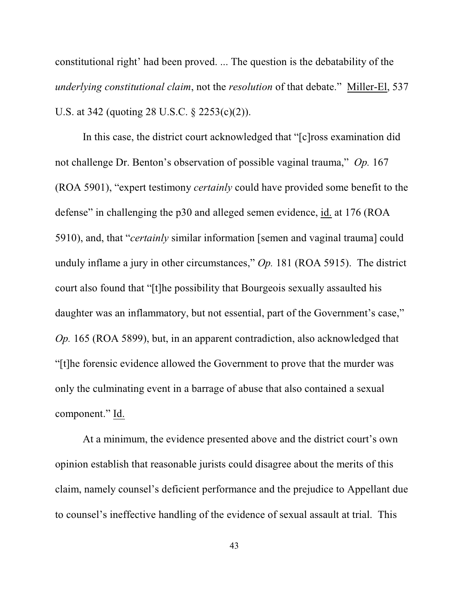constitutional right' had been proved. ... The question is the debatability of the *underlying constitutional claim*, not the *resolution* of that debate." Miller-El, 537 U.S. at 342 (quoting 28 U.S.C. § 2253(c)(2)).

In this case, the district court acknowledged that "[c]ross examination did not challenge Dr. Benton's observation of possible vaginal trauma," *Op.* 167 (ROA 5901), "expert testimony *certainly* could have provided some benefit to the defense" in challenging the p30 and alleged semen evidence, id. at 176 (ROA 5910), and, that "*certainly* similar information [semen and vaginal trauma] could unduly inflame a jury in other circumstances," *Op.* 181 (ROA 5915). The district court also found that "[t]he possibility that Bourgeois sexually assaulted his daughter was an inflammatory, but not essential, part of the Government's case," *Op.* 165 (ROA 5899), but, in an apparent contradiction, also acknowledged that "[t]he forensic evidence allowed the Government to prove that the murder was only the culminating event in a barrage of abuse that also contained a sexual component." Id.

At a minimum, the evidence presented above and the district court's own opinion establish that reasonable jurists could disagree about the merits of this claim, namely counsel's deficient performance and the prejudice to Appellant due to counsel's ineffective handling of the evidence of sexual assault at trial. This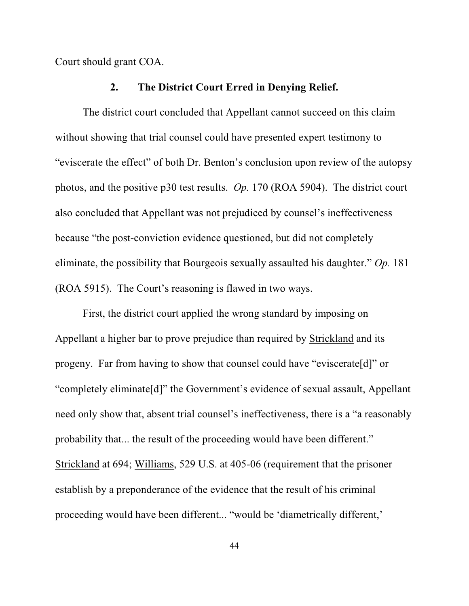Court should grant COA.

### **2. The District Court Erred in Denying Relief.**

The district court concluded that Appellant cannot succeed on this claim without showing that trial counsel could have presented expert testimony to "eviscerate the effect" of both Dr. Benton's conclusion upon review of the autopsy photos, and the positive p30 test results. *Op.* 170 (ROA 5904). The district court also concluded that Appellant was not prejudiced by counsel's ineffectiveness because "the post-conviction evidence questioned, but did not completely eliminate, the possibility that Bourgeois sexually assaulted his daughter." *Op.* 181 (ROA 5915). The Court's reasoning is flawed in two ways.

First, the district court applied the wrong standard by imposing on Appellant a higher bar to prove prejudice than required by Strickland and its progeny. Far from having to show that counsel could have "eviscerate[d]" or "completely eliminate[d]" the Government's evidence of sexual assault, Appellant need only show that, absent trial counsel's ineffectiveness, there is a "a reasonably probability that... the result of the proceeding would have been different." Strickland at 694; Williams, 529 U.S. at 405-06 (requirement that the prisoner establish by a preponderance of the evidence that the result of his criminal proceeding would have been different... "would be 'diametrically different,'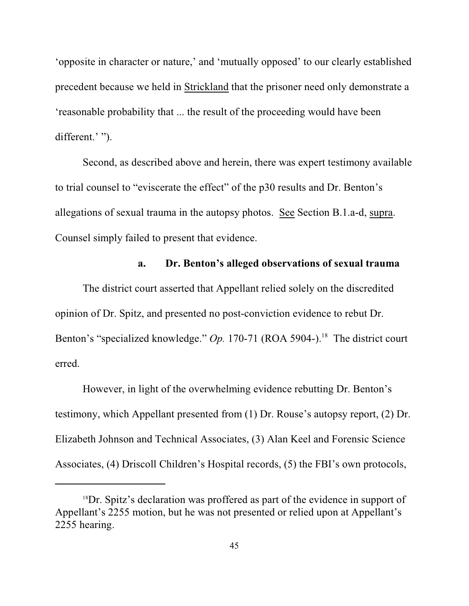'opposite in character or nature,' and 'mutually opposed' to our clearly established precedent because we held in Strickland that the prisoner need only demonstrate a 'reasonable probability that ... the result of the proceeding would have been different.' ").

Second, as described above and herein, there was expert testimony available to trial counsel to "eviscerate the effect" of the p30 results and Dr. Benton's allegations of sexual trauma in the autopsy photos. See Section B.1.a-d, supra. Counsel simply failed to present that evidence.

## **a. Dr. Benton's alleged observations of sexual trauma**

The district court asserted that Appellant relied solely on the discredited opinion of Dr. Spitz, and presented no post-conviction evidence to rebut Dr. Benton's "specialized knowledge." Op. 170-71 (ROA 5904-).<sup>18</sup> The district court erred.

However, in light of the overwhelming evidence rebutting Dr. Benton's testimony, which Appellant presented from (1) Dr. Rouse's autopsy report, (2) Dr. Elizabeth Johnson and Technical Associates, (3) Alan Keel and Forensic Science Associates, (4) Driscoll Children's Hospital records, (5) the FBI's own protocols,

<sup>&</sup>lt;sup>18</sup>Dr. Spitz's declaration was proffered as part of the evidence in support of Appellant's 2255 motion, but he was not presented or relied upon at Appellant's 2255 hearing.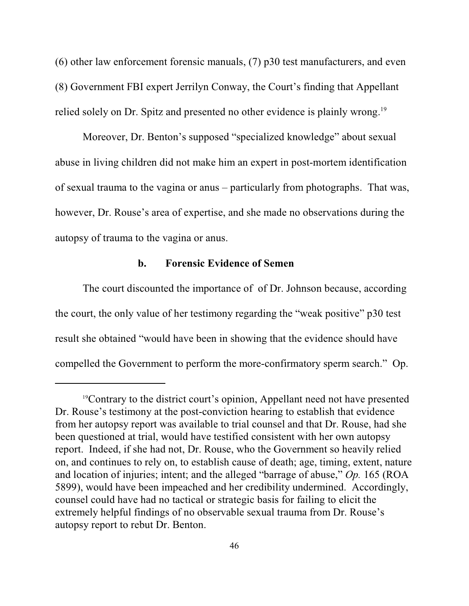(6) other law enforcement forensic manuals, (7) p30 test manufacturers, and even (8) Government FBI expert Jerrilyn Conway, the Court's finding that Appellant relied solely on Dr. Spitz and presented no other evidence is plainly wrong.<sup>19</sup>

Moreover, Dr. Benton's supposed "specialized knowledge" about sexual abuse in living children did not make him an expert in post-mortem identification of sexual trauma to the vagina or anus – particularly from photographs. That was, however, Dr. Rouse's area of expertise, and she made no observations during the autopsy of trauma to the vagina or anus.

### **b. Forensic Evidence of Semen**

The court discounted the importance of of Dr. Johnson because, according the court, the only value of her testimony regarding the "weak positive" p30 test result she obtained "would have been in showing that the evidence should have compelled the Government to perform the more-confirmatory sperm search." Op.

<sup>&</sup>lt;sup>19</sup>Contrary to the district court's opinion, Appellant need not have presented Dr. Rouse's testimony at the post-conviction hearing to establish that evidence from her autopsy report was available to trial counsel and that Dr. Rouse, had she been questioned at trial, would have testified consistent with her own autopsy report. Indeed, if she had not, Dr. Rouse, who the Government so heavily relied on, and continues to rely on, to establish cause of death; age, timing, extent, nature and location of injuries; intent; and the alleged "barrage of abuse," *Op.* 165 (ROA 5899), would have been impeached and her credibility undermined. Accordingly, counsel could have had no tactical or strategic basis for failing to elicit the extremely helpful findings of no observable sexual trauma from Dr. Rouse's autopsy report to rebut Dr. Benton.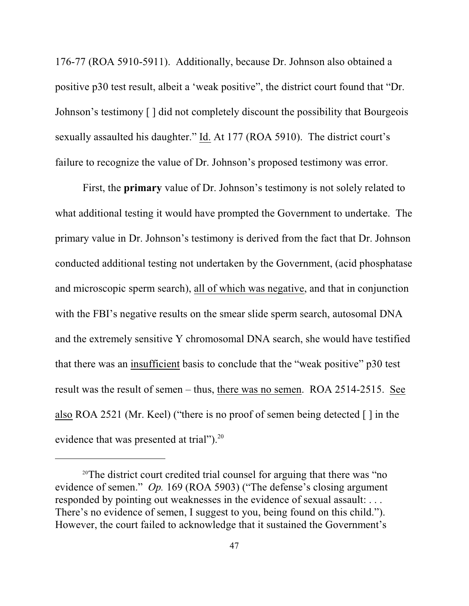176-77 (ROA 5910-5911). Additionally, because Dr. Johnson also obtained a positive p30 test result, albeit a 'weak positive", the district court found that "Dr. Johnson's testimony [ ] did not completely discount the possibility that Bourgeois sexually assaulted his daughter." Id. At 177 (ROA 5910). The district court's failure to recognize the value of Dr. Johnson's proposed testimony was error.

First, the **primary** value of Dr. Johnson's testimony is not solely related to what additional testing it would have prompted the Government to undertake. The primary value in Dr. Johnson's testimony is derived from the fact that Dr. Johnson conducted additional testing not undertaken by the Government, (acid phosphatase and microscopic sperm search), all of which was negative, and that in conjunction with the FBI's negative results on the smear slide sperm search, autosomal DNA and the extremely sensitive Y chromosomal DNA search, she would have testified that there was an insufficient basis to conclude that the "weak positive" p30 test result was the result of semen – thus, there was no semen. ROA 2514-2515. See also ROA 2521 (Mr. Keel) ("there is no proof of semen being detected [ ] in the evidence that was presented at trial").<sup>20</sup>

<sup>&</sup>lt;sup>20</sup>The district court credited trial counsel for arguing that there was "no evidence of semen." *Op.* 169 (ROA 5903) ("The defense's closing argument responded by pointing out weaknesses in the evidence of sexual assault: . . . There's no evidence of semen, I suggest to you, being found on this child."). However, the court failed to acknowledge that it sustained the Government's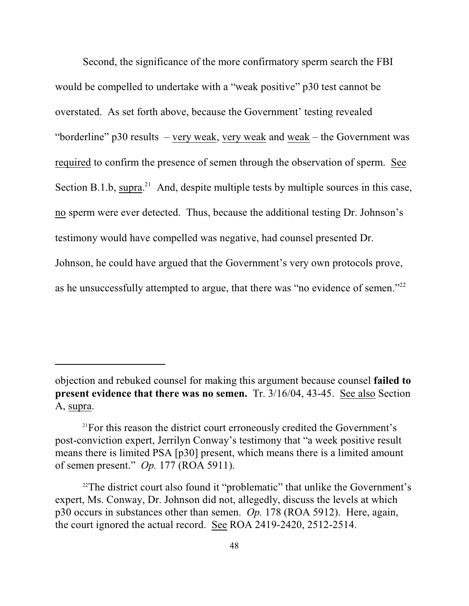Second, the significance of the more confirmatory sperm search the FBI would be compelled to undertake with a "weak positive" p30 test cannot be overstated. As set forth above, because the Government' testing revealed "borderline" p30 results – very weak, very weak and weak – the Government was required to confirm the presence of semen through the observation of sperm. See Section B.1.b, supra.<sup>21</sup> And, despite multiple tests by multiple sources in this case, no sperm were ever detected. Thus, because the additional testing Dr. Johnson's testimony would have compelled was negative, had counsel presented Dr. Johnson, he could have argued that the Government's very own protocols prove, as he unsuccessfully attempted to argue, that there was "no evidence of semen."<sup>22</sup>

objection and rebuked counsel for making this argument because counsel **failed to present evidence that there was no semen.** Tr.  $3/16/04$ , 43-45. See also Section A, supra.

<sup>&</sup>lt;sup>21</sup>For this reason the district court erroneously credited the Government's post-conviction expert, Jerrilyn Conway's testimony that "a week positive result means there is limited PSA [p30] present, which means there is a limited amount of semen present." *Op.* 177 (ROA 5911).

 $22$ The district court also found it "problematic" that unlike the Government's expert, Ms. Conway, Dr. Johnson did not, allegedly, discuss the levels at which p30 occurs in substances other than semen. *Op.* 178 (ROA 5912). Here, again, the court ignored the actual record. See ROA 2419-2420, 2512-2514.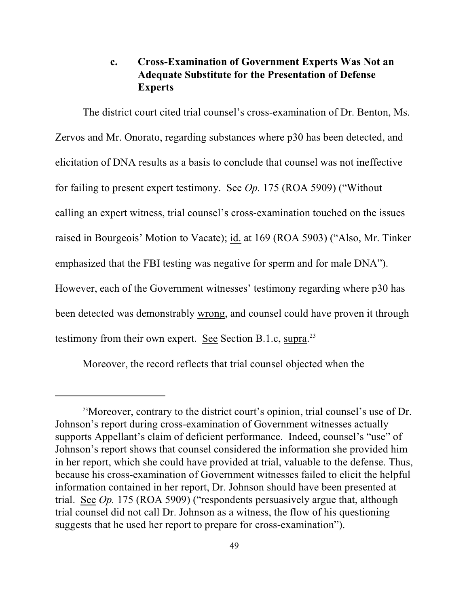# **c. Cross-Examination of Government Experts Was Not an Adequate Substitute for the Presentation of Defense Experts**

The district court cited trial counsel's cross-examination of Dr. Benton, Ms. Zervos and Mr. Onorato, regarding substances where p30 has been detected, and elicitation of DNA results as a basis to conclude that counsel was not ineffective for failing to present expert testimony. See *Op.* 175 (ROA 5909) ("Without calling an expert witness, trial counsel's cross-examination touched on the issues raised in Bourgeois' Motion to Vacate); id. at 169 (ROA 5903) ("Also, Mr. Tinker emphasized that the FBI testing was negative for sperm and for male DNA"). However, each of the Government witnesses' testimony regarding where p30 has been detected was demonstrably wrong, and counsel could have proven it through testimony from their own expert. See Section B.1.c, supra.<sup>23</sup>

Moreover, the record reflects that trial counsel objected when the

<sup>&</sup>lt;sup>23</sup> Moreover, contrary to the district court's opinion, trial counsel's use of Dr. Johnson's report during cross-examination of Government witnesses actually supports Appellant's claim of deficient performance. Indeed, counsel's "use" of Johnson's report shows that counsel considered the information she provided him in her report, which she could have provided at trial, valuable to the defense. Thus, because his cross-examination of Government witnesses failed to elicit the helpful information contained in her report, Dr. Johnson should have been presented at trial. See *Op.* 175 (ROA 5909) ("respondents persuasively argue that, although trial counsel did not call Dr. Johnson as a witness, the flow of his questioning suggests that he used her report to prepare for cross-examination").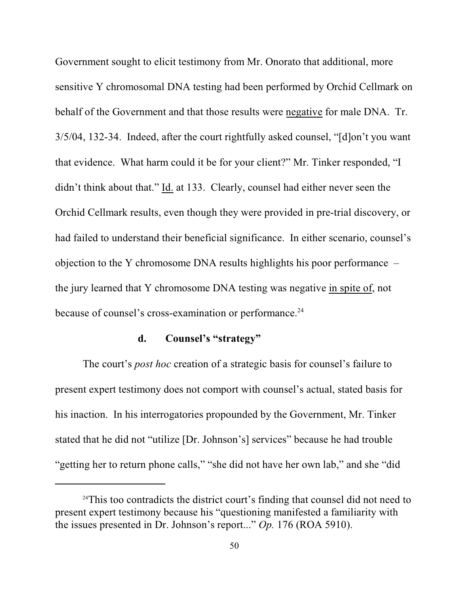Government sought to elicit testimony from Mr. Onorato that additional, more sensitive Y chromosomal DNA testing had been performed by Orchid Cellmark on behalf of the Government and that those results were negative for male DNA. Tr. 3/5/04, 132-34. Indeed, after the court rightfully asked counsel, "[d]on't you want that evidence. What harm could it be for your client?" Mr. Tinker responded, "I didn't think about that." Id. at 133. Clearly, counsel had either never seen the Orchid Cellmark results, even though they were provided in pre-trial discovery, or had failed to understand their beneficial significance. In either scenario, counsel's objection to the Y chromosome DNA results highlights his poor performance – the jury learned that Y chromosome DNA testing was negative in spite of, not because of counsel's cross-examination or performance.<sup>24</sup>

## **d. Counsel's "strategy"**

The court's *post hoc* creation of a strategic basis for counsel's failure to present expert testimony does not comport with counsel's actual, stated basis for his inaction. In his interrogatories propounded by the Government, Mr. Tinker stated that he did not "utilize [Dr. Johnson's] services" because he had trouble "getting her to return phone calls," "she did not have her own lab," and she "did

 $24$ This too contradicts the district court's finding that counsel did not need to present expert testimony because his "questioning manifested a familiarity with the issues presented in Dr. Johnson's report..." *Op.* 176 (ROA 5910).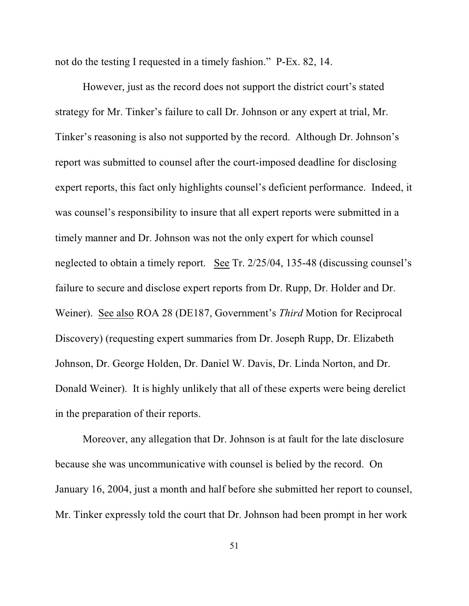not do the testing I requested in a timely fashion." P-Ex. 82, 14.

However, just as the record does not support the district court's stated strategy for Mr. Tinker's failure to call Dr. Johnson or any expert at trial, Mr. Tinker's reasoning is also not supported by the record. Although Dr. Johnson's report was submitted to counsel after the court-imposed deadline for disclosing expert reports, this fact only highlights counsel's deficient performance. Indeed, it was counsel's responsibility to insure that all expert reports were submitted in a timely manner and Dr. Johnson was not the only expert for which counsel neglected to obtain a timely report. See Tr. 2/25/04, 135-48 (discussing counsel's failure to secure and disclose expert reports from Dr. Rupp, Dr. Holder and Dr. Weiner). See also ROA 28 (DE187, Government's *Third* Motion for Reciprocal Discovery) (requesting expert summaries from Dr. Joseph Rupp, Dr. Elizabeth Johnson, Dr. George Holden, Dr. Daniel W. Davis, Dr. Linda Norton, and Dr. Donald Weiner). It is highly unlikely that all of these experts were being derelict in the preparation of their reports.

Moreover, any allegation that Dr. Johnson is at fault for the late disclosure because she was uncommunicative with counsel is belied by the record. On January 16, 2004, just a month and half before she submitted her report to counsel, Mr. Tinker expressly told the court that Dr. Johnson had been prompt in her work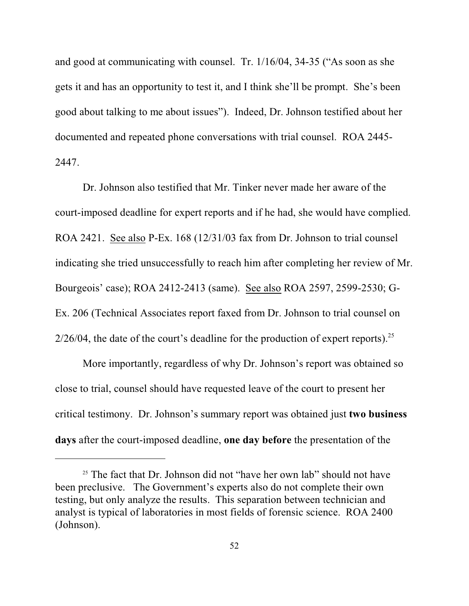and good at communicating with counsel. Tr. 1/16/04, 34-35 ("As soon as she gets it and has an opportunity to test it, and I think she'll be prompt. She's been good about talking to me about issues"). Indeed, Dr. Johnson testified about her documented and repeated phone conversations with trial counsel. ROA 2445- 2447.

Dr. Johnson also testified that Mr. Tinker never made her aware of the court-imposed deadline for expert reports and if he had, she would have complied. ROA 2421. See also P-Ex. 168 (12/31/03 fax from Dr. Johnson to trial counsel indicating she tried unsuccessfully to reach him after completing her review of Mr. Bourgeois' case); ROA 2412-2413 (same). See also ROA 2597, 2599-2530; G-Ex. 206 (Technical Associates report faxed from Dr. Johnson to trial counsel on  $2/26/04$ , the date of the court's deadline for the production of expert reports).<sup>25</sup>

More importantly, regardless of why Dr. Johnson's report was obtained so close to trial, counsel should have requested leave of the court to present her critical testimony. Dr. Johnson's summary report was obtained just **two business days** after the court-imposed deadline, **one day before** the presentation of the

<sup>&</sup>lt;sup>25</sup> The fact that Dr. Johnson did not "have her own lab" should not have been preclusive. The Government's experts also do not complete their own testing, but only analyze the results. This separation between technician and analyst is typical of laboratories in most fields of forensic science. ROA 2400 (Johnson).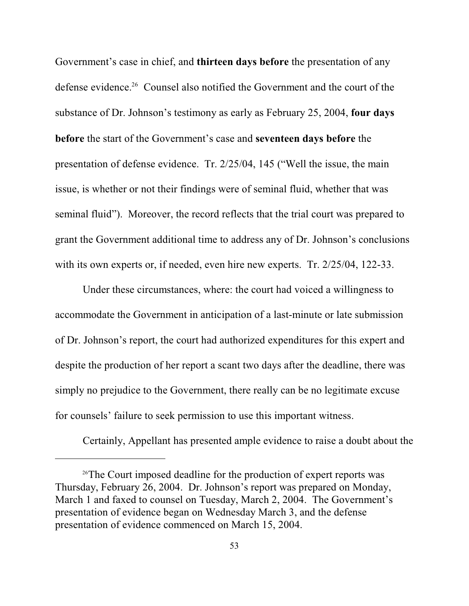Government's case in chief, and **thirteen days before** the presentation of any defense evidence.<sup>26</sup> Counsel also notified the Government and the court of the substance of Dr. Johnson's testimony as early as February 25, 2004, **four days before** the start of the Government's case and **seventeen days before** the presentation of defense evidence. Tr. 2/25/04, 145 ("Well the issue, the main issue, is whether or not their findings were of seminal fluid, whether that was seminal fluid"). Moreover, the record reflects that the trial court was prepared to grant the Government additional time to address any of Dr. Johnson's conclusions with its own experts or, if needed, even hire new experts. Tr. 2/25/04, 122-33.

Under these circumstances, where: the court had voiced a willingness to accommodate the Government in anticipation of a last-minute or late submission of Dr. Johnson's report, the court had authorized expenditures for this expert and despite the production of her report a scant two days after the deadline, there was simply no prejudice to the Government, there really can be no legitimate excuse for counsels' failure to seek permission to use this important witness.

Certainly, Appellant has presented ample evidence to raise a doubt about the

<sup>&</sup>lt;sup>26</sup>The Court imposed deadline for the production of expert reports was Thursday, February 26, 2004. Dr. Johnson's report was prepared on Monday, March 1 and faxed to counsel on Tuesday, March 2, 2004. The Government's presentation of evidence began on Wednesday March 3, and the defense presentation of evidence commenced on March 15, 2004.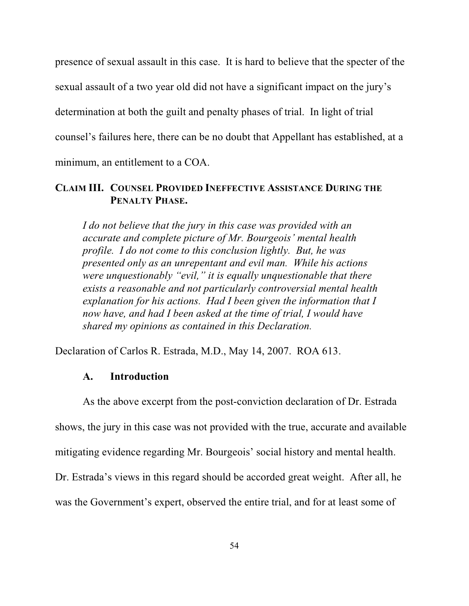presence of sexual assault in this case. It is hard to believe that the specter of the sexual assault of a two year old did not have a significant impact on the jury's determination at both the guilt and penalty phases of trial. In light of trial counsel's failures here, there can be no doubt that Appellant has established, at a minimum, an entitlement to a COA.

## **CLAIM III. COUNSEL PROVIDED INEFFECTIVE ASSISTANCE DURING THE PENALTY PHASE.**

*I do not believe that the jury in this case was provided with an accurate and complete picture of Mr. Bourgeois' mental health profile. I do not come to this conclusion lightly. But, he was presented only as an unrepentant and evil man. While his actions were unquestionably "evil," it is equally unquestionable that there exists a reasonable and not particularly controversial mental health explanation for his actions. Had I been given the information that I now have, and had I been asked at the time of trial, I would have shared my opinions as contained in this Declaration.*

Declaration of Carlos R. Estrada, M.D., May 14, 2007. ROA 613.

### **A. Introduction**

As the above excerpt from the post-conviction declaration of Dr. Estrada shows, the jury in this case was not provided with the true, accurate and available mitigating evidence regarding Mr. Bourgeois' social history and mental health. Dr. Estrada's views in this regard should be accorded great weight. After all, he was the Government's expert, observed the entire trial, and for at least some of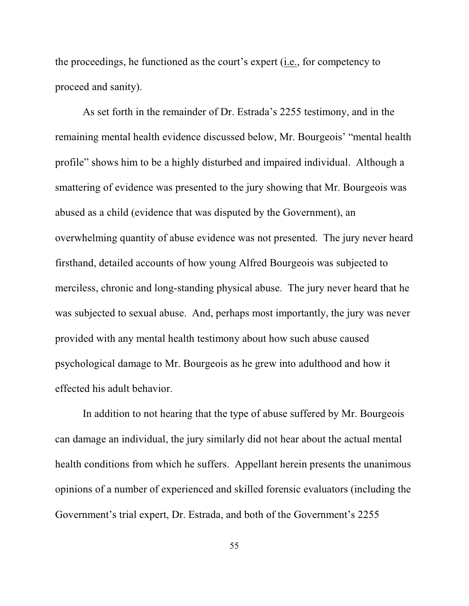the proceedings, he functioned as the court's expert (i.e., for competency to proceed and sanity).

As set forth in the remainder of Dr. Estrada's 2255 testimony, and in the remaining mental health evidence discussed below, Mr. Bourgeois' "mental health profile" shows him to be a highly disturbed and impaired individual. Although a smattering of evidence was presented to the jury showing that Mr. Bourgeois was abused as a child (evidence that was disputed by the Government), an overwhelming quantity of abuse evidence was not presented. The jury never heard firsthand, detailed accounts of how young Alfred Bourgeois was subjected to merciless, chronic and long-standing physical abuse. The jury never heard that he was subjected to sexual abuse. And, perhaps most importantly, the jury was never provided with any mental health testimony about how such abuse caused psychological damage to Mr. Bourgeois as he grew into adulthood and how it effected his adult behavior.

In addition to not hearing that the type of abuse suffered by Mr. Bourgeois can damage an individual, the jury similarly did not hear about the actual mental health conditions from which he suffers. Appellant herein presents the unanimous opinions of a number of experienced and skilled forensic evaluators (including the Government's trial expert, Dr. Estrada, and both of the Government's 2255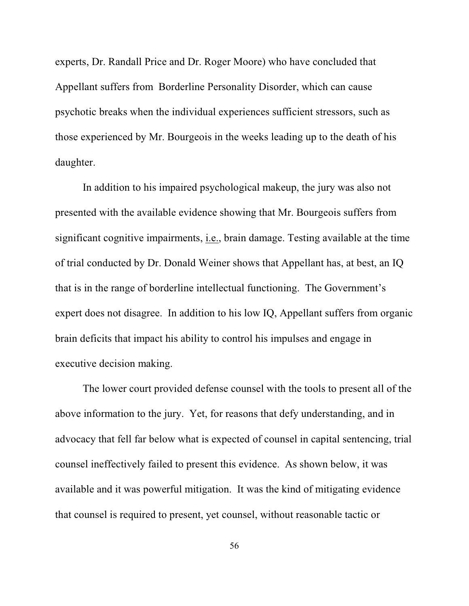experts, Dr. Randall Price and Dr. Roger Moore) who have concluded that Appellant suffers from Borderline Personality Disorder, which can cause psychotic breaks when the individual experiences sufficient stressors, such as those experienced by Mr. Bourgeois in the weeks leading up to the death of his daughter.

In addition to his impaired psychological makeup, the jury was also not presented with the available evidence showing that Mr. Bourgeois suffers from significant cognitive impairments, i.e., brain damage. Testing available at the time of trial conducted by Dr. Donald Weiner shows that Appellant has, at best, an IQ that is in the range of borderline intellectual functioning. The Government's expert does not disagree. In addition to his low IQ, Appellant suffers from organic brain deficits that impact his ability to control his impulses and engage in executive decision making.

The lower court provided defense counsel with the tools to present all of the above information to the jury. Yet, for reasons that defy understanding, and in advocacy that fell far below what is expected of counsel in capital sentencing, trial counsel ineffectively failed to present this evidence. As shown below, it was available and it was powerful mitigation. It was the kind of mitigating evidence that counsel is required to present, yet counsel, without reasonable tactic or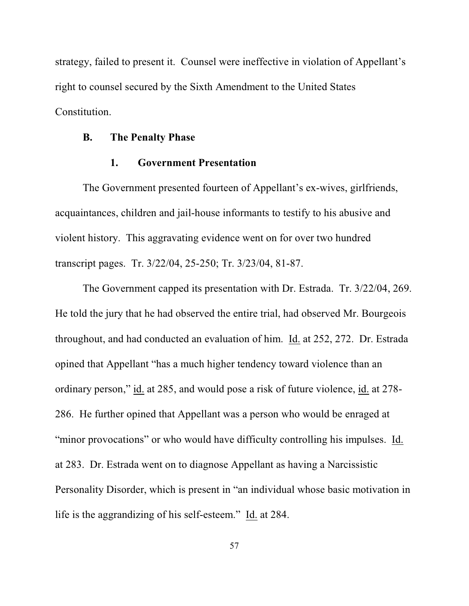strategy, failed to present it. Counsel were ineffective in violation of Appellant's right to counsel secured by the Sixth Amendment to the United States Constitution.

### **B. The Penalty Phase**

### **1. Government Presentation**

The Government presented fourteen of Appellant's ex-wives, girlfriends, acquaintances, children and jail-house informants to testify to his abusive and violent history. This aggravating evidence went on for over two hundred transcript pages. Tr. 3/22/04, 25-250; Tr. 3/23/04, 81-87.

The Government capped its presentation with Dr. Estrada. Tr. 3/22/04, 269. He told the jury that he had observed the entire trial, had observed Mr. Bourgeois throughout, and had conducted an evaluation of him. Id. at 252, 272. Dr. Estrada opined that Appellant "has a much higher tendency toward violence than an ordinary person," id. at 285, and would pose a risk of future violence, id. at 278- 286. He further opined that Appellant was a person who would be enraged at "minor provocations" or who would have difficulty controlling his impulses. Id. at 283. Dr. Estrada went on to diagnose Appellant as having a Narcissistic Personality Disorder, which is present in "an individual whose basic motivation in life is the aggrandizing of his self-esteem." Id. at 284.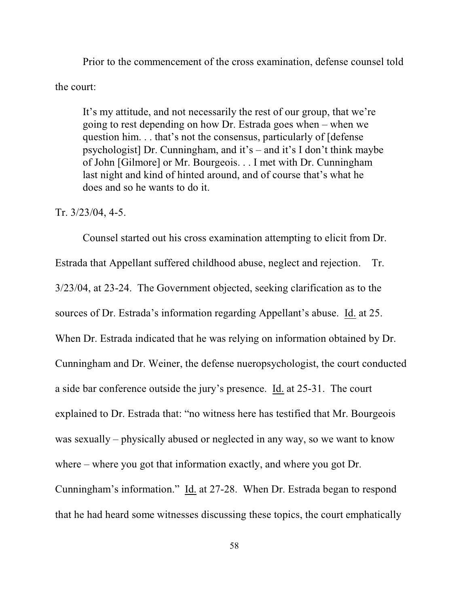Prior to the commencement of the cross examination, defense counsel told the court:

It's my attitude, and not necessarily the rest of our group, that we're going to rest depending on how Dr. Estrada goes when – when we question him. . . that's not the consensus, particularly of [defense psychologist] Dr. Cunningham, and it's – and it's I don't think maybe of John [Gilmore] or Mr. Bourgeois. . . I met with Dr. Cunningham last night and kind of hinted around, and of course that's what he does and so he wants to do it.

#### Tr. 3/23/04, 4-5.

Counsel started out his cross examination attempting to elicit from Dr. Estrada that Appellant suffered childhood abuse, neglect and rejection. Tr. 3/23/04, at 23-24. The Government objected, seeking clarification as to the sources of Dr. Estrada's information regarding Appellant's abuse. Id. at 25. When Dr. Estrada indicated that he was relying on information obtained by Dr. Cunningham and Dr. Weiner, the defense nueropsychologist, the court conducted a side bar conference outside the jury's presence. Id. at 25-31. The court explained to Dr. Estrada that: "no witness here has testified that Mr. Bourgeois was sexually – physically abused or neglected in any way, so we want to know where – where you got that information exactly, and where you got Dr. Cunningham's information." Id. at 27-28. When Dr. Estrada began to respond that he had heard some witnesses discussing these topics, the court emphatically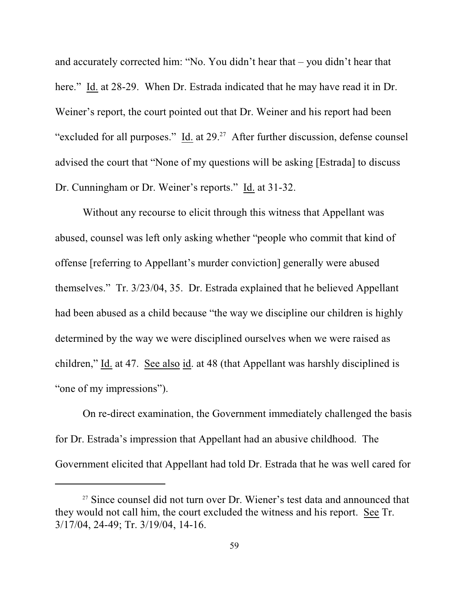and accurately corrected him: "No. You didn't hear that – you didn't hear that here." Id. at 28-29. When Dr. Estrada indicated that he may have read it in Dr. Weiner's report, the court pointed out that Dr. Weiner and his report had been "excluded for all purposes."  $\underline{Id}$  at 29.<sup>27</sup> After further discussion, defense counsel advised the court that "None of my questions will be asking [Estrada] to discuss Dr. Cunningham or Dr. Weiner's reports." Id. at 31-32.

Without any recourse to elicit through this witness that Appellant was abused, counsel was left only asking whether "people who commit that kind of offense [referring to Appellant's murder conviction] generally were abused themselves." Tr. 3/23/04, 35. Dr. Estrada explained that he believed Appellant had been abused as a child because "the way we discipline our children is highly determined by the way we were disciplined ourselves when we were raised as children," Id. at 47. See also id. at 48 (that Appellant was harshly disciplined is "one of my impressions").

On re-direct examination, the Government immediately challenged the basis for Dr. Estrada's impression that Appellant had an abusive childhood. The Government elicited that Appellant had told Dr. Estrada that he was well cared for

<sup>&</sup>lt;sup>27</sup> Since counsel did not turn over Dr. Wiener's test data and announced that they would not call him, the court excluded the witness and his report. See Tr. 3/17/04, 24-49; Tr. 3/19/04, 14-16.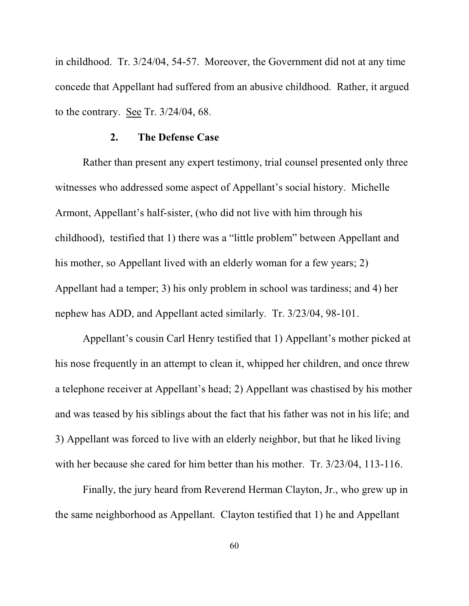in childhood. Tr. 3/24/04, 54-57. Moreover, the Government did not at any time concede that Appellant had suffered from an abusive childhood. Rather, it argued to the contrary. See Tr. 3/24/04, 68.

### **2. The Defense Case**

Rather than present any expert testimony, trial counsel presented only three witnesses who addressed some aspect of Appellant's social history. Michelle Armont, Appellant's half-sister, (who did not live with him through his childhood), testified that 1) there was a "little problem" between Appellant and his mother, so Appellant lived with an elderly woman for a few years; 2) Appellant had a temper; 3) his only problem in school was tardiness; and 4) her nephew has ADD, and Appellant acted similarly. Tr. 3/23/04, 98-101.

Appellant's cousin Carl Henry testified that 1) Appellant's mother picked at his nose frequently in an attempt to clean it, whipped her children, and once threw a telephone receiver at Appellant's head; 2) Appellant was chastised by his mother and was teased by his siblings about the fact that his father was not in his life; and 3) Appellant was forced to live with an elderly neighbor, but that he liked living with her because she cared for him better than his mother. Tr. 3/23/04, 113-116.

Finally, the jury heard from Reverend Herman Clayton, Jr., who grew up in the same neighborhood as Appellant. Clayton testified that 1) he and Appellant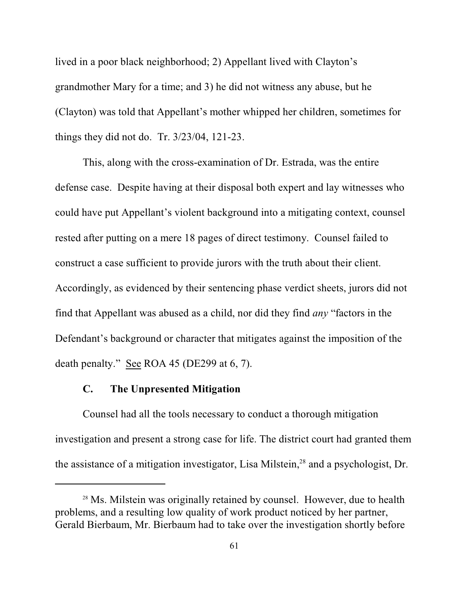lived in a poor black neighborhood; 2) Appellant lived with Clayton's grandmother Mary for a time; and 3) he did not witness any abuse, but he (Clayton) was told that Appellant's mother whipped her children, sometimes for things they did not do. Tr. 3/23/04, 121-23.

This, along with the cross-examination of Dr. Estrada, was the entire defense case. Despite having at their disposal both expert and lay witnesses who could have put Appellant's violent background into a mitigating context, counsel rested after putting on a mere 18 pages of direct testimony. Counsel failed to construct a case sufficient to provide jurors with the truth about their client. Accordingly, as evidenced by their sentencing phase verdict sheets, jurors did not find that Appellant was abused as a child, nor did they find *any* "factors in the Defendant's background or character that mitigates against the imposition of the death penalty." See ROA 45 (DE299 at 6, 7).

### **C. The Unpresented Mitigation**

Counsel had all the tools necessary to conduct a thorough mitigation investigation and present a strong case for life. The district court had granted them the assistance of a mitigation investigator, Lisa Milstein,  $28$  and a psychologist, Dr.

<sup>&</sup>lt;sup>28</sup> Ms. Milstein was originally retained by counsel. However, due to health problems, and a resulting low quality of work product noticed by her partner, Gerald Bierbaum, Mr. Bierbaum had to take over the investigation shortly before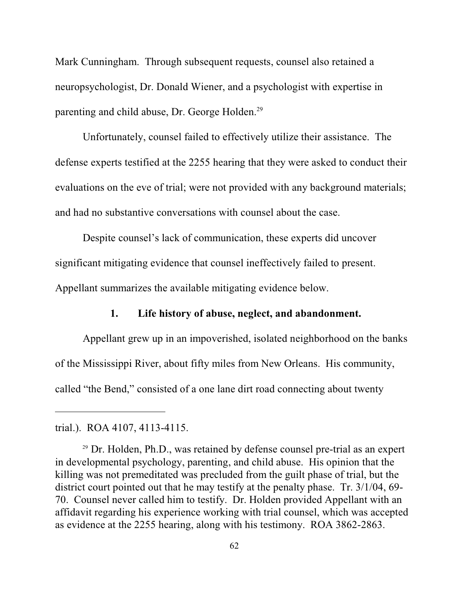Mark Cunningham. Through subsequent requests, counsel also retained a neuropsychologist, Dr. Donald Wiener, and a psychologist with expertise in parenting and child abuse, Dr. George Holden.<sup>29</sup>

Unfortunately, counsel failed to effectively utilize their assistance. The defense experts testified at the 2255 hearing that they were asked to conduct their evaluations on the eve of trial; were not provided with any background materials; and had no substantive conversations with counsel about the case.

Despite counsel's lack of communication, these experts did uncover significant mitigating evidence that counsel ineffectively failed to present.

Appellant summarizes the available mitigating evidence below.

## **1. Life history of abuse, neglect, and abandonment.**

Appellant grew up in an impoverished, isolated neighborhood on the banks of the Mississippi River, about fifty miles from New Orleans. His community, called "the Bend," consisted of a one lane dirt road connecting about twenty

trial.). ROA 4107, 4113-4115.

 $29$  Dr. Holden, Ph.D., was retained by defense counsel pre-trial as an expert in developmental psychology, parenting, and child abuse. His opinion that the killing was not premeditated was precluded from the guilt phase of trial, but the district court pointed out that he may testify at the penalty phase. Tr. 3/1/04, 69- 70. Counsel never called him to testify. Dr. Holden provided Appellant with an affidavit regarding his experience working with trial counsel, which was accepted as evidence at the 2255 hearing, along with his testimony. ROA 3862-2863.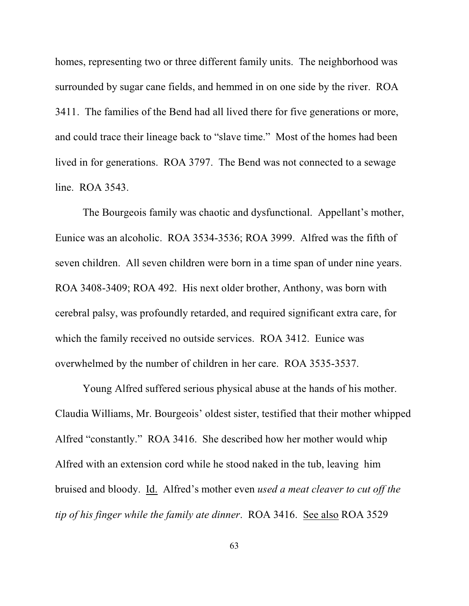homes, representing two or three different family units. The neighborhood was surrounded by sugar cane fields, and hemmed in on one side by the river. ROA 3411. The families of the Bend had all lived there for five generations or more, and could trace their lineage back to "slave time." Most of the homes had been lived in for generations. ROA 3797. The Bend was not connected to a sewage line. ROA 3543.

The Bourgeois family was chaotic and dysfunctional. Appellant's mother, Eunice was an alcoholic. ROA 3534-3536; ROA 3999. Alfred was the fifth of seven children. All seven children were born in a time span of under nine years. ROA 3408-3409; ROA 492. His next older brother, Anthony, was born with cerebral palsy, was profoundly retarded, and required significant extra care, for which the family received no outside services. ROA 3412. Eunice was overwhelmed by the number of children in her care. ROA 3535-3537.

Young Alfred suffered serious physical abuse at the hands of his mother. Claudia Williams, Mr. Bourgeois' oldest sister, testified that their mother whipped Alfred "constantly." ROA 3416. She described how her mother would whip Alfred with an extension cord while he stood naked in the tub, leaving him bruised and bloody. Id. Alfred's mother even *used a meat cleaver to cut off the tip of his finger while the family ate dinner*. ROA 3416. See also ROA 3529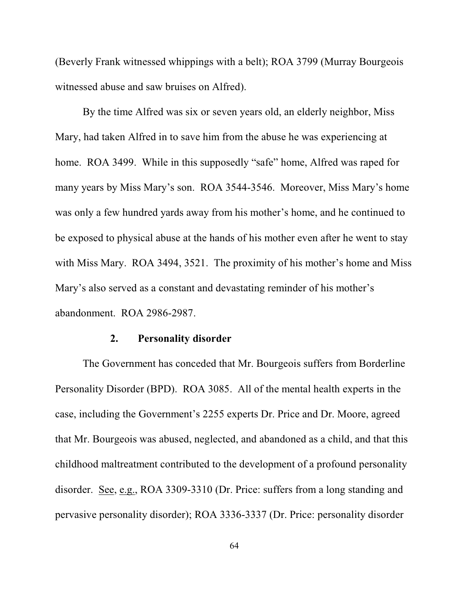(Beverly Frank witnessed whippings with a belt); ROA 3799 (Murray Bourgeois witnessed abuse and saw bruises on Alfred).

By the time Alfred was six or seven years old, an elderly neighbor, Miss Mary, had taken Alfred in to save him from the abuse he was experiencing at home. ROA 3499. While in this supposedly "safe" home, Alfred was raped for many years by Miss Mary's son. ROA 3544-3546. Moreover, Miss Mary's home was only a few hundred yards away from his mother's home, and he continued to be exposed to physical abuse at the hands of his mother even after he went to stay with Miss Mary. ROA 3494, 3521. The proximity of his mother's home and Miss Mary's also served as a constant and devastating reminder of his mother's abandonment. ROA 2986-2987.

### **2. Personality disorder**

The Government has conceded that Mr. Bourgeois suffers from Borderline Personality Disorder (BPD). ROA 3085. All of the mental health experts in the case, including the Government's 2255 experts Dr. Price and Dr. Moore, agreed that Mr. Bourgeois was abused, neglected, and abandoned as a child, and that this childhood maltreatment contributed to the development of a profound personality disorder. See, e.g., ROA 3309-3310 (Dr. Price: suffers from a long standing and pervasive personality disorder); ROA 3336-3337 (Dr. Price: personality disorder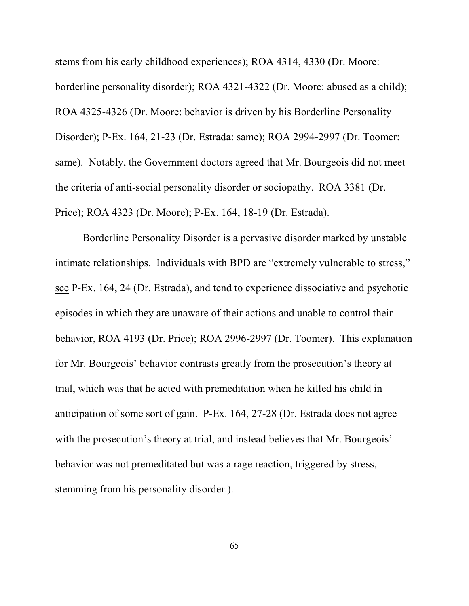stems from his early childhood experiences); ROA 4314, 4330 (Dr. Moore: borderline personality disorder); ROA 4321-4322 (Dr. Moore: abused as a child); ROA 4325-4326 (Dr. Moore: behavior is driven by his Borderline Personality Disorder); P-Ex. 164, 21-23 (Dr. Estrada: same); ROA 2994-2997 (Dr. Toomer: same). Notably, the Government doctors agreed that Mr. Bourgeois did not meet the criteria of anti-social personality disorder or sociopathy. ROA 3381 (Dr. Price); ROA 4323 (Dr. Moore); P-Ex. 164, 18-19 (Dr. Estrada).

Borderline Personality Disorder is a pervasive disorder marked by unstable intimate relationships. Individuals with BPD are "extremely vulnerable to stress," see P-Ex. 164, 24 (Dr. Estrada), and tend to experience dissociative and psychotic episodes in which they are unaware of their actions and unable to control their behavior, ROA 4193 (Dr. Price); ROA 2996-2997 (Dr. Toomer). This explanation for Mr. Bourgeois' behavior contrasts greatly from the prosecution's theory at trial, which was that he acted with premeditation when he killed his child in anticipation of some sort of gain. P-Ex. 164, 27-28 (Dr. Estrada does not agree with the prosecution's theory at trial, and instead believes that Mr. Bourgeois' behavior was not premeditated but was a rage reaction, triggered by stress, stemming from his personality disorder.).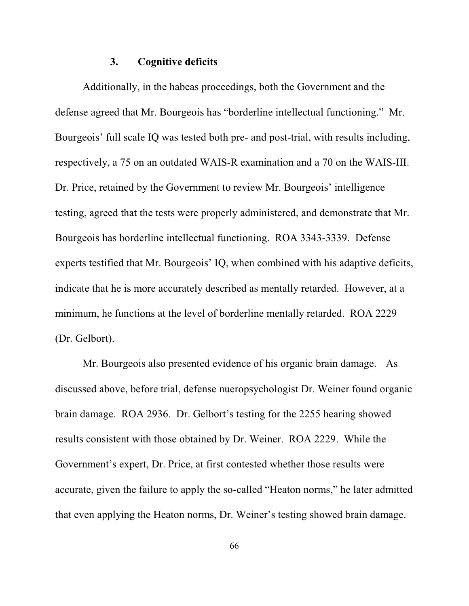#### **3. Cognitive deficits**

Additionally, in the habeas proceedings, both the Government and the defense agreed that Mr. Bourgeois has "borderline intellectual functioning." Mr. Bourgeois' full scale IQ was tested both pre- and post-trial, with results including, respectively, a 75 on an outdated WAIS-R examination and a 70 on the WAIS-III. Dr. Price, retained by the Government to review Mr. Bourgeois' intelligence testing, agreed that the tests were properly administered, and demonstrate that Mr. Bourgeois has borderline intellectual functioning. ROA 3343-3339. Defense experts testified that Mr. Bourgeois' IQ, when combined with his adaptive deficits, indicate that he is more accurately described as mentally retarded. However, at a minimum, he functions at the level of borderline mentally retarded. ROA 2229 (Dr. Gelbort).

Mr. Bourgeois also presented evidence of his organic brain damage. As discussed above, before trial, defense nueropsychologist Dr. Weiner found organic brain damage. ROA 2936. Dr. Gelbort's testing for the 2255 hearing showed results consistent with those obtained by Dr. Weiner. ROA 2229. While the Government's expert, Dr. Price, at first contested whether those results were accurate, given the failure to apply the so-called "Heaton norms," he later admitted that even applying the Heaton norms, Dr. Weiner's testing showed brain damage.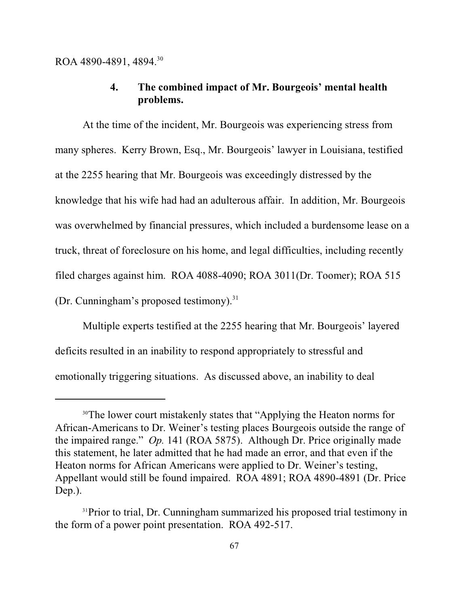## **4. The combined impact of Mr. Bourgeois' mental health problems.**

At the time of the incident, Mr. Bourgeois was experiencing stress from many spheres. Kerry Brown, Esq., Mr. Bourgeois' lawyer in Louisiana, testified at the 2255 hearing that Mr. Bourgeois was exceedingly distressed by the knowledge that his wife had had an adulterous affair. In addition, Mr. Bourgeois was overwhelmed by financial pressures, which included a burdensome lease on a truck, threat of foreclosure on his home, and legal difficulties, including recently filed charges against him. ROA 4088-4090; ROA 3011(Dr. Toomer); ROA 515 (Dr. Cunningham's proposed testimony).<sup>31</sup>

Multiple experts testified at the 2255 hearing that Mr. Bourgeois' layered deficits resulted in an inability to respond appropriately to stressful and emotionally triggering situations. As discussed above, an inability to deal

<sup>&</sup>lt;sup>30</sup>The lower court mistakenly states that "Applying the Heaton norms for African-Americans to Dr. Weiner's testing places Bourgeois outside the range of the impaired range." *Op.* 141 (ROA 5875). Although Dr. Price originally made this statement, he later admitted that he had made an error, and that even if the Heaton norms for African Americans were applied to Dr. Weiner's testing, Appellant would still be found impaired. ROA 4891; ROA 4890-4891 (Dr. Price Dep.).

<sup>&</sup>lt;sup>31</sup>Prior to trial, Dr. Cunningham summarized his proposed trial testimony in the form of a power point presentation. ROA 492-517.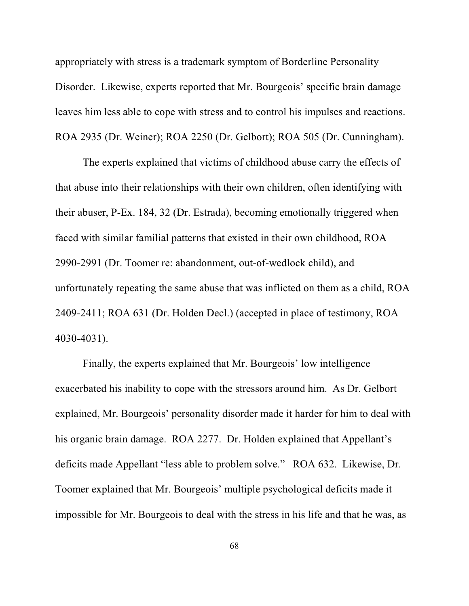appropriately with stress is a trademark symptom of Borderline Personality Disorder. Likewise, experts reported that Mr. Bourgeois' specific brain damage leaves him less able to cope with stress and to control his impulses and reactions. ROA 2935 (Dr. Weiner); ROA 2250 (Dr. Gelbort); ROA 505 (Dr. Cunningham).

The experts explained that victims of childhood abuse carry the effects of that abuse into their relationships with their own children, often identifying with their abuser, P-Ex. 184, 32 (Dr. Estrada), becoming emotionally triggered when faced with similar familial patterns that existed in their own childhood, ROA 2990-2991 (Dr. Toomer re: abandonment, out-of-wedlock child), and unfortunately repeating the same abuse that was inflicted on them as a child, ROA 2409-2411; ROA 631 (Dr. Holden Decl.) (accepted in place of testimony, ROA 4030-4031).

Finally, the experts explained that Mr. Bourgeois' low intelligence exacerbated his inability to cope with the stressors around him. As Dr. Gelbort explained, Mr. Bourgeois' personality disorder made it harder for him to deal with his organic brain damage. ROA 2277. Dr. Holden explained that Appellant's deficits made Appellant "less able to problem solve." ROA 632. Likewise, Dr. Toomer explained that Mr. Bourgeois' multiple psychological deficits made it impossible for Mr. Bourgeois to deal with the stress in his life and that he was, as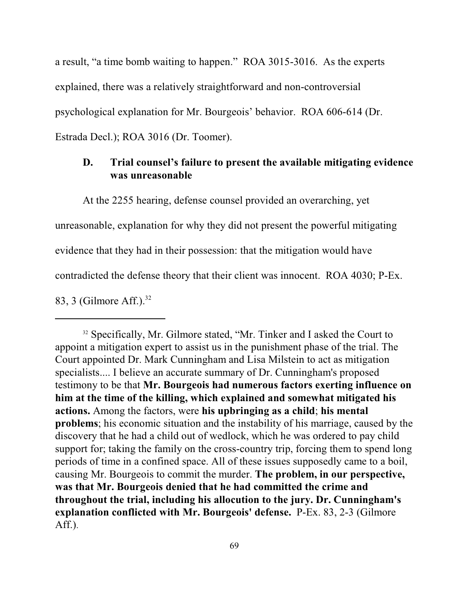a result, "a time bomb waiting to happen." ROA 3015-3016. As the experts explained, there was a relatively straightforward and non-controversial psychological explanation for Mr. Bourgeois' behavior. ROA 606-614 (Dr. Estrada Decl.); ROA 3016 (Dr. Toomer).

## **D. Trial counsel's failure to present the available mitigating evidence was unreasonable**

At the 2255 hearing, defense counsel provided an overarching, yet

unreasonable, explanation for why they did not present the powerful mitigating

evidence that they had in their possession: that the mitigation would have

contradicted the defense theory that their client was innocent. ROA 4030; P-Ex.

83, 3 (Gilmore Aff.).<sup>32</sup>

<sup>&</sup>lt;sup>32</sup> Specifically, Mr. Gilmore stated, "Mr. Tinker and I asked the Court to appoint a mitigation expert to assist us in the punishment phase of the trial. The Court appointed Dr. Mark Cunningham and Lisa Milstein to act as mitigation specialists.... I believe an accurate summary of Dr. Cunningham's proposed testimony to be that **Mr. Bourgeois had numerous factors exerting influence on him at the time of the killing, which explained and somewhat mitigated his actions.** Among the factors, were **his upbringing as a child**; **his mental problems**; his economic situation and the instability of his marriage, caused by the discovery that he had a child out of wedlock, which he was ordered to pay child support for; taking the family on the cross-country trip, forcing them to spend long periods of time in a confined space. All of these issues supposedly came to a boil, causing Mr. Bourgeois to commit the murder. **The problem, in our perspective, was that Mr. Bourgeois denied that he had committed the crime and throughout the trial, including his allocution to the jury. Dr. Cunningham's explanation conflicted with Mr. Bourgeois' defense.** P-Ex. 83, 2-3 (Gilmore Aff.).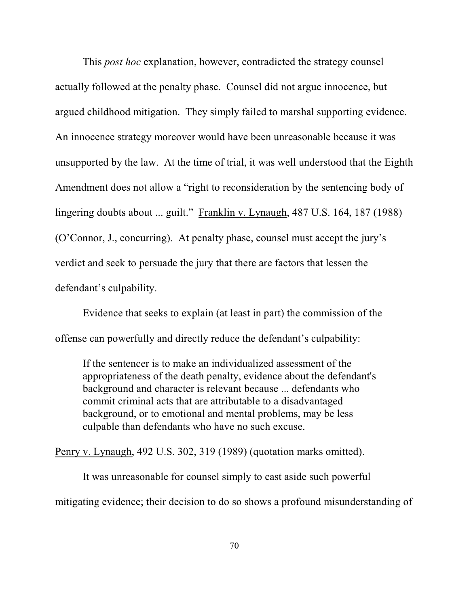This *post hoc* explanation, however, contradicted the strategy counsel actually followed at the penalty phase. Counsel did not argue innocence, but argued childhood mitigation. They simply failed to marshal supporting evidence. An innocence strategy moreover would have been unreasonable because it was unsupported by the law. At the time of trial, it was well understood that the Eighth Amendment does not allow a "right to reconsideration by the sentencing body of lingering doubts about ... guilt." Franklin v. Lynaugh, 487 U.S. 164, 187 (1988) (O'Connor, J., concurring). At penalty phase, counsel must accept the jury's verdict and seek to persuade the jury that there are factors that lessen the defendant's culpability.

Evidence that seeks to explain (at least in part) the commission of the offense can powerfully and directly reduce the defendant's culpability:

If the sentencer is to make an individualized assessment of the appropriateness of the death penalty, evidence about the defendant's background and character is relevant because ... defendants who commit criminal acts that are attributable to a disadvantaged background, or to emotional and mental problems, may be less culpable than defendants who have no such excuse.

Penry v. Lynaugh, 492 U.S. 302, 319 (1989) (quotation marks omitted).

It was unreasonable for counsel simply to cast aside such powerful mitigating evidence; their decision to do so shows a profound misunderstanding of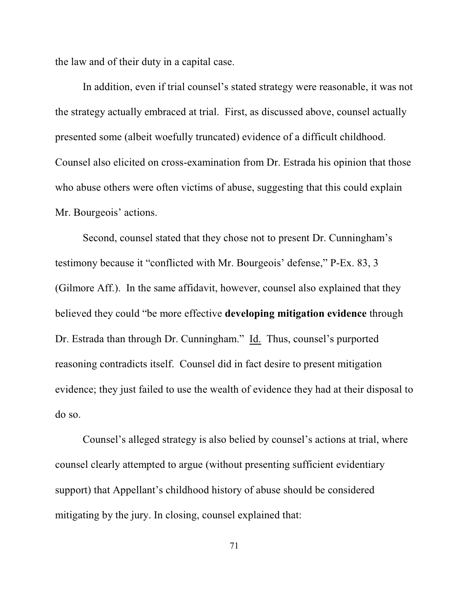the law and of their duty in a capital case.

In addition, even if trial counsel's stated strategy were reasonable, it was not the strategy actually embraced at trial. First, as discussed above, counsel actually presented some (albeit woefully truncated) evidence of a difficult childhood. Counsel also elicited on cross-examination from Dr. Estrada his opinion that those who abuse others were often victims of abuse, suggesting that this could explain Mr. Bourgeois' actions.

Second, counsel stated that they chose not to present Dr. Cunningham's testimony because it "conflicted with Mr. Bourgeois' defense," P-Ex. 83, 3 (Gilmore Aff.). In the same affidavit, however, counsel also explained that they believed they could "be more effective **developing mitigation evidence** through Dr. Estrada than through Dr. Cunningham." Id. Thus, counsel's purported reasoning contradicts itself. Counsel did in fact desire to present mitigation evidence; they just failed to use the wealth of evidence they had at their disposal to do so.

Counsel's alleged strategy is also belied by counsel's actions at trial, where counsel clearly attempted to argue (without presenting sufficient evidentiary support) that Appellant's childhood history of abuse should be considered mitigating by the jury. In closing, counsel explained that: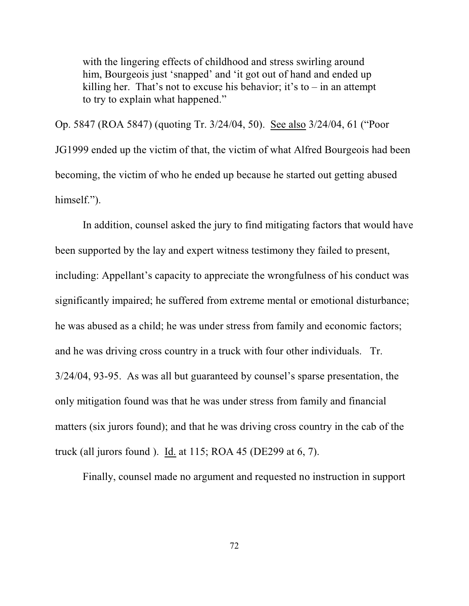with the lingering effects of childhood and stress swirling around him, Bourgeois just 'snapped' and 'it got out of hand and ended up killing her. That's not to excuse his behavior; it's to  $-$  in an attempt to try to explain what happened."

Op. 5847 (ROA 5847) (quoting Tr. 3/24/04, 50). See also 3/24/04, 61 ("Poor JG1999 ended up the victim of that, the victim of what Alfred Bourgeois had been becoming, the victim of who he ended up because he started out getting abused himself.").

In addition, counsel asked the jury to find mitigating factors that would have been supported by the lay and expert witness testimony they failed to present, including: Appellant's capacity to appreciate the wrongfulness of his conduct was significantly impaired; he suffered from extreme mental or emotional disturbance; he was abused as a child; he was under stress from family and economic factors; and he was driving cross country in a truck with four other individuals. Tr. 3/24/04, 93-95. As was all but guaranteed by counsel's sparse presentation, the only mitigation found was that he was under stress from family and financial matters (six jurors found); and that he was driving cross country in the cab of the truck (all jurors found ). Id. at 115; ROA 45 (DE299 at 6, 7).

Finally, counsel made no argument and requested no instruction in support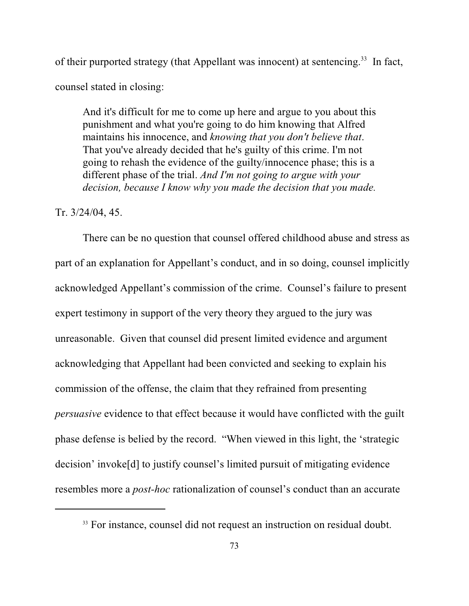of their purported strategy (that Appellant was innocent) at sentencing.<sup>33</sup> In fact, counsel stated in closing:

And it's difficult for me to come up here and argue to you about this punishment and what you're going to do him knowing that Alfred maintains his innocence, and *knowing that you don't believe that*. That you've already decided that he's guilty of this crime. I'm not going to rehash the evidence of the guilty/innocence phase; this is a different phase of the trial. *And I'm not going to argue with your decision, because I know why you made the decision that you made.* 

#### Tr. 3/24/04, 45.

There can be no question that counsel offered childhood abuse and stress as part of an explanation for Appellant's conduct, and in so doing, counsel implicitly acknowledged Appellant's commission of the crime. Counsel's failure to present expert testimony in support of the very theory they argued to the jury was unreasonable. Given that counsel did present limited evidence and argument acknowledging that Appellant had been convicted and seeking to explain his commission of the offense, the claim that they refrained from presenting *persuasive* evidence to that effect because it would have conflicted with the guilt phase defense is belied by the record. "When viewed in this light, the 'strategic decision' invoke[d] to justify counsel's limited pursuit of mitigating evidence resembles more a *post-hoc* rationalization of counsel's conduct than an accurate

<sup>&</sup>lt;sup>33</sup> For instance, counsel did not request an instruction on residual doubt.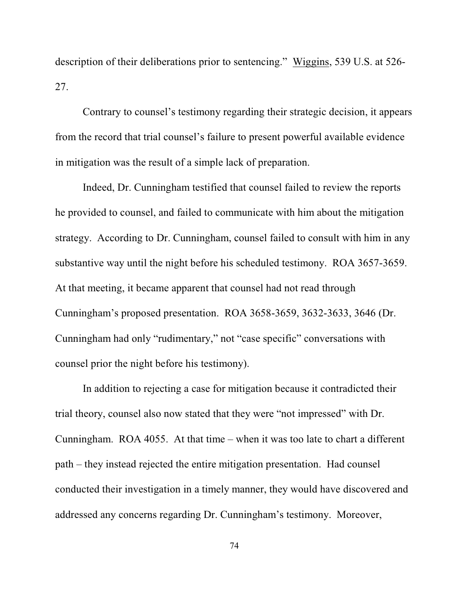description of their deliberations prior to sentencing." Wiggins, 539 U.S. at 526- 27.

Contrary to counsel's testimony regarding their strategic decision, it appears from the record that trial counsel's failure to present powerful available evidence in mitigation was the result of a simple lack of preparation.

Indeed, Dr. Cunningham testified that counsel failed to review the reports he provided to counsel, and failed to communicate with him about the mitigation strategy. According to Dr. Cunningham, counsel failed to consult with him in any substantive way until the night before his scheduled testimony. ROA 3657-3659. At that meeting, it became apparent that counsel had not read through Cunningham's proposed presentation. ROA 3658-3659, 3632-3633, 3646 (Dr. Cunningham had only "rudimentary," not "case specific" conversations with counsel prior the night before his testimony).

In addition to rejecting a case for mitigation because it contradicted their trial theory, counsel also now stated that they were "not impressed" with Dr. Cunningham. ROA 4055. At that time – when it was too late to chart a different path – they instead rejected the entire mitigation presentation. Had counsel conducted their investigation in a timely manner, they would have discovered and addressed any concerns regarding Dr. Cunningham's testimony. Moreover,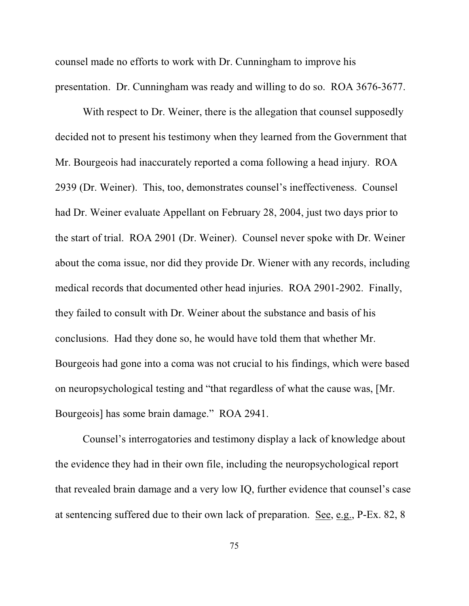counsel made no efforts to work with Dr. Cunningham to improve his presentation. Dr. Cunningham was ready and willing to do so. ROA 3676-3677.

With respect to Dr. Weiner, there is the allegation that counsel supposedly decided not to present his testimony when they learned from the Government that Mr. Bourgeois had inaccurately reported a coma following a head injury. ROA 2939 (Dr. Weiner). This, too, demonstrates counsel's ineffectiveness. Counsel had Dr. Weiner evaluate Appellant on February 28, 2004, just two days prior to the start of trial. ROA 2901 (Dr. Weiner). Counsel never spoke with Dr. Weiner about the coma issue, nor did they provide Dr. Wiener with any records, including medical records that documented other head injuries. ROA 2901-2902. Finally, they failed to consult with Dr. Weiner about the substance and basis of his conclusions. Had they done so, he would have told them that whether Mr. Bourgeois had gone into a coma was not crucial to his findings, which were based on neuropsychological testing and "that regardless of what the cause was, [Mr. Bourgeois] has some brain damage." ROA 2941.

Counsel's interrogatories and testimony display a lack of knowledge about the evidence they had in their own file, including the neuropsychological report that revealed brain damage and a very low IQ, further evidence that counsel's case at sentencing suffered due to their own lack of preparation. See, e.g., P-Ex. 82, 8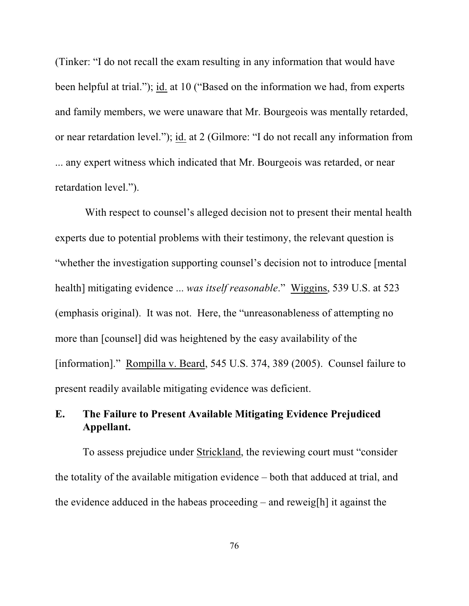(Tinker: "I do not recall the exam resulting in any information that would have been helpful at trial."); id. at 10 ("Based on the information we had, from experts and family members, we were unaware that Mr. Bourgeois was mentally retarded, or near retardation level."); id. at 2 (Gilmore: "I do not recall any information from ... any expert witness which indicated that Mr. Bourgeois was retarded, or near retardation level.").

With respect to counsel's alleged decision not to present their mental health experts due to potential problems with their testimony, the relevant question is "whether the investigation supporting counsel's decision not to introduce [mental health] mitigating evidence ... *was itself reasonable*." Wiggins, 539 U.S. at 523 (emphasis original). It was not. Here, the "unreasonableness of attempting no more than [counsel] did was heightened by the easy availability of the [information]." Rompilla v. Beard, 545 U.S. 374, 389 (2005). Counsel failure to present readily available mitigating evidence was deficient.

# **E. The Failure to Present Available Mitigating Evidence Prejudiced Appellant.**

To assess prejudice under Strickland, the reviewing court must "consider the totality of the available mitigation evidence – both that adduced at trial, and the evidence adduced in the habeas proceeding – and reweig[h] it against the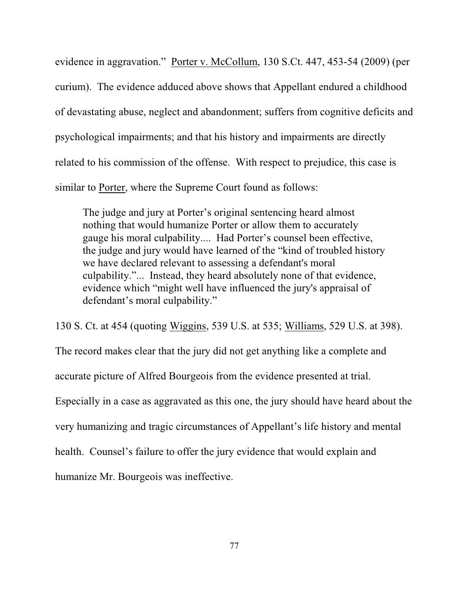evidence in aggravation." Porter v. McCollum, 130 S.Ct. 447, 453-54 (2009) (per curium). The evidence adduced above shows that Appellant endured a childhood of devastating abuse, neglect and abandonment; suffers from cognitive deficits and psychological impairments; and that his history and impairments are directly related to his commission of the offense. With respect to prejudice, this case is similar to Porter, where the Supreme Court found as follows:

The judge and jury at Porter's original sentencing heard almost nothing that would humanize Porter or allow them to accurately gauge his moral culpability.... Had Porter's counsel been effective, the judge and jury would have learned of the "kind of troubled history we have declared relevant to assessing a defendant's moral culpability."... Instead, they heard absolutely none of that evidence, evidence which "might well have influenced the jury's appraisal of defendant's moral culpability."

130 S. Ct. at 454 (quoting Wiggins, 539 U.S. at 535; Williams, 529 U.S. at 398).

The record makes clear that the jury did not get anything like a complete and

accurate picture of Alfred Bourgeois from the evidence presented at trial.

Especially in a case as aggravated as this one, the jury should have heard about the

very humanizing and tragic circumstances of Appellant's life history and mental

health. Counsel's failure to offer the jury evidence that would explain and

humanize Mr. Bourgeois was ineffective.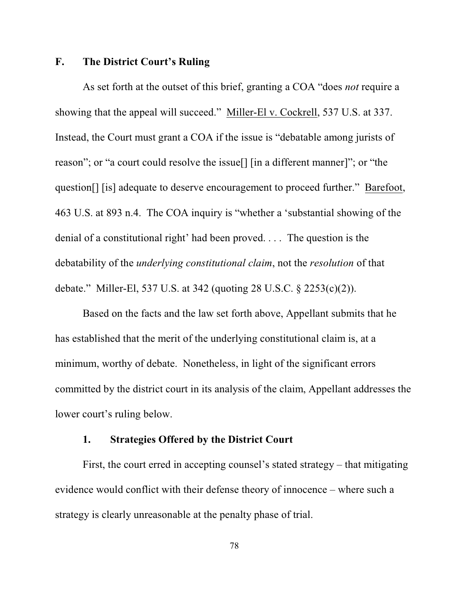### **F. The District Court's Ruling**

As set forth at the outset of this brief, granting a COA "does *not* require a showing that the appeal will succeed." Miller-El v. Cockrell, 537 U.S. at 337. Instead, the Court must grant a COA if the issue is "debatable among jurists of reason"; or "a court could resolve the issue[] [in a different manner]"; or "the question[] [is] adequate to deserve encouragement to proceed further." Barefoot, 463 U.S. at 893 n.4. The COA inquiry is "whether a 'substantial showing of the denial of a constitutional right' had been proved. . . . The question is the debatability of the *underlying constitutional claim*, not the *resolution* of that debate." Miller-El, 537 U.S. at 342 (quoting 28 U.S.C. § 2253(c)(2)).

Based on the facts and the law set forth above, Appellant submits that he has established that the merit of the underlying constitutional claim is, at a minimum, worthy of debate. Nonetheless, in light of the significant errors committed by the district court in its analysis of the claim, Appellant addresses the lower court's ruling below.

### **1. Strategies Offered by the District Court**

First, the court erred in accepting counsel's stated strategy – that mitigating evidence would conflict with their defense theory of innocence – where such a strategy is clearly unreasonable at the penalty phase of trial.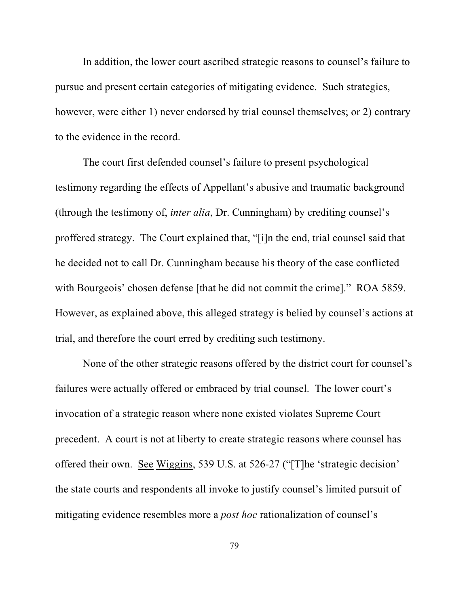In addition, the lower court ascribed strategic reasons to counsel's failure to pursue and present certain categories of mitigating evidence. Such strategies, however, were either 1) never endorsed by trial counsel themselves; or 2) contrary to the evidence in the record.

The court first defended counsel's failure to present psychological testimony regarding the effects of Appellant's abusive and traumatic background (through the testimony of, *inter alia*, Dr. Cunningham) by crediting counsel's proffered strategy. The Court explained that, "[i]n the end, trial counsel said that he decided not to call Dr. Cunningham because his theory of the case conflicted with Bourgeois' chosen defense [that he did not commit the crime]." ROA 5859. However, as explained above, this alleged strategy is belied by counsel's actions at trial, and therefore the court erred by crediting such testimony.

None of the other strategic reasons offered by the district court for counsel's failures were actually offered or embraced by trial counsel. The lower court's invocation of a strategic reason where none existed violates Supreme Court precedent. A court is not at liberty to create strategic reasons where counsel has offered their own. See Wiggins, 539 U.S. at 526-27 ("[T]he 'strategic decision' the state courts and respondents all invoke to justify counsel's limited pursuit of mitigating evidence resembles more a *post hoc* rationalization of counsel's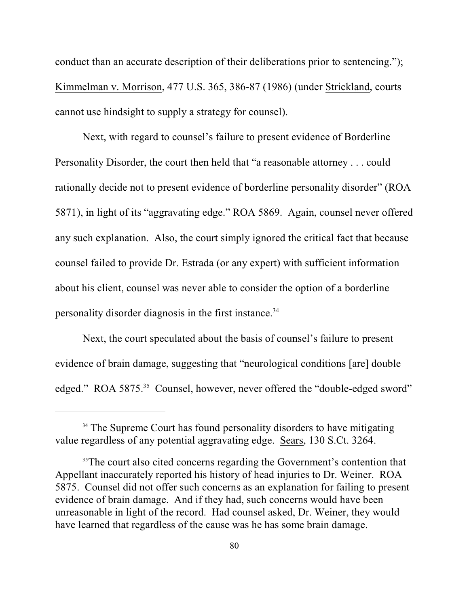conduct than an accurate description of their deliberations prior to sentencing."); Kimmelman v. Morrison, 477 U.S. 365, 386-87 (1986) (under Strickland, courts cannot use hindsight to supply a strategy for counsel).

Next, with regard to counsel's failure to present evidence of Borderline Personality Disorder, the court then held that "a reasonable attorney . . . could rationally decide not to present evidence of borderline personality disorder" (ROA 5871), in light of its "aggravating edge." ROA 5869. Again, counsel never offered any such explanation. Also, the court simply ignored the critical fact that because counsel failed to provide Dr. Estrada (or any expert) with sufficient information about his client, counsel was never able to consider the option of a borderline personality disorder diagnosis in the first instance.<sup>34</sup>

Next, the court speculated about the basis of counsel's failure to present evidence of brain damage, suggesting that "neurological conditions [are] double edged." ROA 5875.<sup>35</sup> Counsel, however, never offered the "double-edged sword"

<sup>&</sup>lt;sup>34</sup> The Supreme Court has found personality disorders to have mitigating value regardless of any potential aggravating edge. Sears, 130 S.Ct. 3264.

<sup>&</sup>lt;sup>35</sup>The court also cited concerns regarding the Government's contention that Appellant inaccurately reported his history of head injuries to Dr. Weiner. ROA 5875. Counsel did not offer such concerns as an explanation for failing to present evidence of brain damage. And if they had, such concerns would have been unreasonable in light of the record. Had counsel asked, Dr. Weiner, they would have learned that regardless of the cause was he has some brain damage.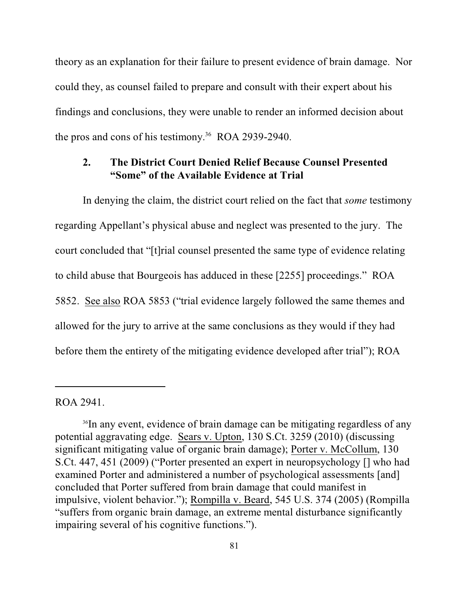theory as an explanation for their failure to present evidence of brain damage. Nor could they, as counsel failed to prepare and consult with their expert about his findings and conclusions, they were unable to render an informed decision about the pros and cons of his testimony.<sup>36</sup> ROA 2939-2940.

## **2. The District Court Denied Relief Because Counsel Presented "Some" of the Available Evidence at Trial**

In denying the claim, the district court relied on the fact that *some* testimony regarding Appellant's physical abuse and neglect was presented to the jury. The court concluded that "[t]rial counsel presented the same type of evidence relating to child abuse that Bourgeois has adduced in these [2255] proceedings." ROA 5852. See also ROA 5853 ("trial evidence largely followed the same themes and allowed for the jury to arrive at the same conclusions as they would if they had before them the entirety of the mitigating evidence developed after trial"); ROA

#### ROA 2941.

<sup>&</sup>lt;sup>36</sup>In any event, evidence of brain damage can be mitigating regardless of any potential aggravating edge. Sears v. Upton, 130 S.Ct. 3259 (2010) (discussing significant mitigating value of organic brain damage); Porter v. McCollum, 130 S.Ct. 447, 451 (2009) ("Porter presented an expert in neuropsychology [] who had examined Porter and administered a number of psychological assessments [and] concluded that Porter suffered from brain damage that could manifest in impulsive, violent behavior."); Rompilla v. Beard, 545 U.S. 374 (2005) (Rompilla "suffers from organic brain damage, an extreme mental disturbance significantly impairing several of his cognitive functions.").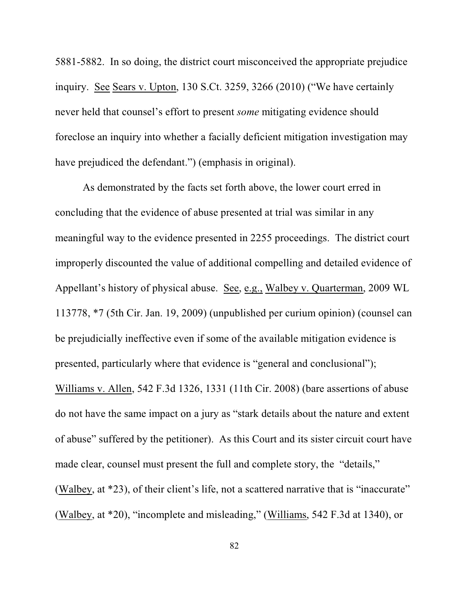5881-5882. In so doing, the district court misconceived the appropriate prejudice inquiry. See Sears v. Upton, 130 S.Ct. 3259, 3266 (2010) ("We have certainly never held that counsel's effort to present *some* mitigating evidence should foreclose an inquiry into whether a facially deficient mitigation investigation may have prejudiced the defendant.") (emphasis in original).

As demonstrated by the facts set forth above, the lower court erred in concluding that the evidence of abuse presented at trial was similar in any meaningful way to the evidence presented in 2255 proceedings. The district court improperly discounted the value of additional compelling and detailed evidence of Appellant's history of physical abuse. See, e.g., Walbey v. Quarterman, 2009 WL 113778, \*7 (5th Cir. Jan. 19, 2009) (unpublished per curium opinion) (counsel can be prejudicially ineffective even if some of the available mitigation evidence is presented, particularly where that evidence is "general and conclusional"); Williams v. Allen, 542 F.3d 1326, 1331 (11th Cir. 2008) (bare assertions of abuse do not have the same impact on a jury as "stark details about the nature and extent of abuse" suffered by the petitioner). As this Court and its sister circuit court have made clear, counsel must present the full and complete story, the "details," (Walbey, at \*23), of their client's life, not a scattered narrative that is "inaccurate" (Walbey, at \*20), "incomplete and misleading," (Williams, 542 F.3d at 1340), or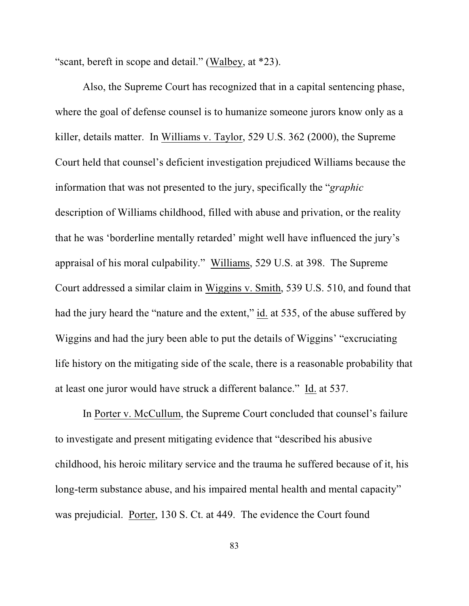"scant, bereft in scope and detail." (Walbey, at \*23).

Also, the Supreme Court has recognized that in a capital sentencing phase, where the goal of defense counsel is to humanize someone jurors know only as a killer, details matter. In Williams v. Taylor, 529 U.S. 362 (2000), the Supreme Court held that counsel's deficient investigation prejudiced Williams because the information that was not presented to the jury, specifically the "*graphic* description of Williams childhood, filled with abuse and privation, or the reality that he was 'borderline mentally retarded' might well have influenced the jury's appraisal of his moral culpability." Williams, 529 U.S. at 398. The Supreme Court addressed a similar claim in Wiggins v. Smith, 539 U.S. 510, and found that had the jury heard the "nature and the extent," id. at 535, of the abuse suffered by Wiggins and had the jury been able to put the details of Wiggins' "excruciating life history on the mitigating side of the scale, there is a reasonable probability that at least one juror would have struck a different balance." Id. at 537.

In Porter v. McCullum, the Supreme Court concluded that counsel's failure to investigate and present mitigating evidence that "described his abusive childhood, his heroic military service and the trauma he suffered because of it, his long-term substance abuse, and his impaired mental health and mental capacity" was prejudicial. Porter, 130 S. Ct. at 449. The evidence the Court found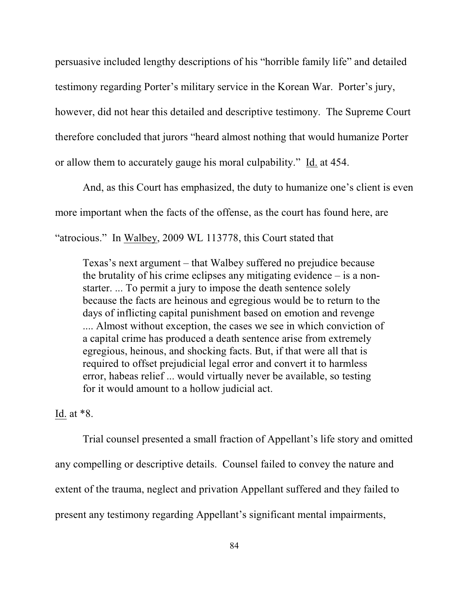persuasive included lengthy descriptions of his "horrible family life" and detailed testimony regarding Porter's military service in the Korean War. Porter's jury, however, did not hear this detailed and descriptive testimony. The Supreme Court therefore concluded that jurors "heard almost nothing that would humanize Porter or allow them to accurately gauge his moral culpability." Id. at 454.

And, as this Court has emphasized, the duty to humanize one's client is even more important when the facts of the offense, as the court has found here, are "atrocious." In Walbey, 2009 WL 113778, this Court stated that

Texas's next argument – that Walbey suffered no prejudice because the brutality of his crime eclipses any mitigating evidence – is a nonstarter. ... To permit a jury to impose the death sentence solely because the facts are heinous and egregious would be to return to the days of inflicting capital punishment based on emotion and revenge .... Almost without exception, the cases we see in which conviction of a capital crime has produced a death sentence arise from extremely egregious, heinous, and shocking facts. But, if that were all that is required to offset prejudicial legal error and convert it to harmless error, habeas relief ... would virtually never be available, so testing for it would amount to a hollow judicial act.

## Id. at \*8.

Trial counsel presented a small fraction of Appellant's life story and omitted any compelling or descriptive details. Counsel failed to convey the nature and extent of the trauma, neglect and privation Appellant suffered and they failed to present any testimony regarding Appellant's significant mental impairments,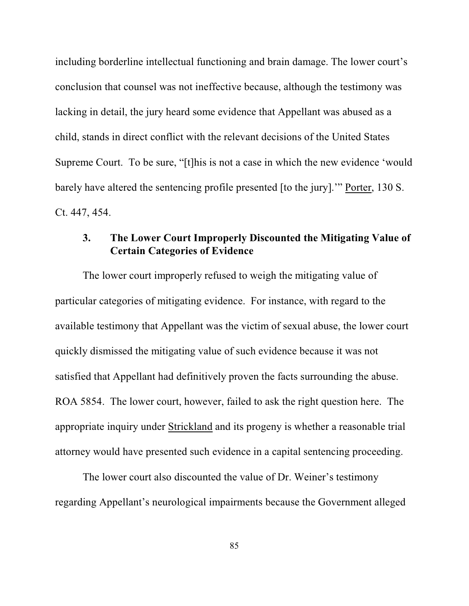including borderline intellectual functioning and brain damage. The lower court's conclusion that counsel was not ineffective because, although the testimony was lacking in detail, the jury heard some evidence that Appellant was abused as a child, stands in direct conflict with the relevant decisions of the United States Supreme Court. To be sure, "[t]his is not a case in which the new evidence 'would barely have altered the sentencing profile presented [to the jury].'" Porter, 130 S. Ct. 447, 454.

## **3. The Lower Court Improperly Discounted the Mitigating Value of Certain Categories of Evidence**

The lower court improperly refused to weigh the mitigating value of particular categories of mitigating evidence. For instance, with regard to the available testimony that Appellant was the victim of sexual abuse, the lower court quickly dismissed the mitigating value of such evidence because it was not satisfied that Appellant had definitively proven the facts surrounding the abuse. ROA 5854. The lower court, however, failed to ask the right question here. The appropriate inquiry under Strickland and its progeny is whether a reasonable trial attorney would have presented such evidence in a capital sentencing proceeding.

The lower court also discounted the value of Dr. Weiner's testimony regarding Appellant's neurological impairments because the Government alleged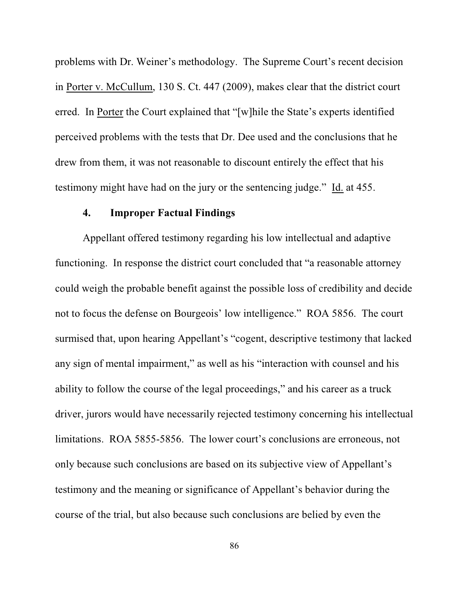problems with Dr. Weiner's methodology. The Supreme Court's recent decision in Porter v. McCullum, 130 S. Ct. 447 (2009), makes clear that the district court erred. In Porter the Court explained that "[w]hile the State's experts identified perceived problems with the tests that Dr. Dee used and the conclusions that he drew from them, it was not reasonable to discount entirely the effect that his testimony might have had on the jury or the sentencing judge." Id. at 455.

### **4. Improper Factual Findings**

Appellant offered testimony regarding his low intellectual and adaptive functioning. In response the district court concluded that "a reasonable attorney could weigh the probable benefit against the possible loss of credibility and decide not to focus the defense on Bourgeois' low intelligence." ROA 5856. The court surmised that, upon hearing Appellant's "cogent, descriptive testimony that lacked any sign of mental impairment," as well as his "interaction with counsel and his ability to follow the course of the legal proceedings," and his career as a truck driver, jurors would have necessarily rejected testimony concerning his intellectual limitations. ROA 5855-5856. The lower court's conclusions are erroneous, not only because such conclusions are based on its subjective view of Appellant's testimony and the meaning or significance of Appellant's behavior during the course of the trial, but also because such conclusions are belied by even the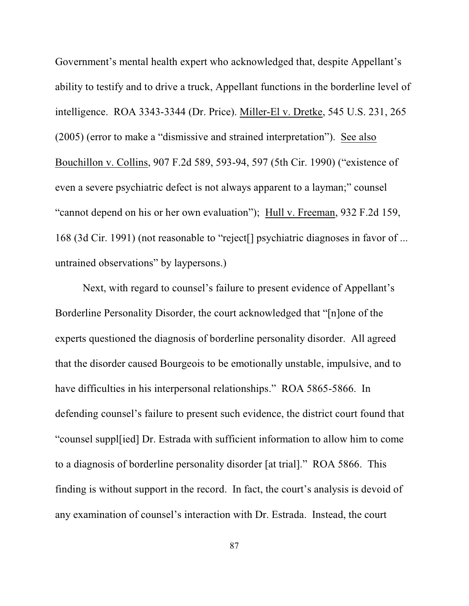Government's mental health expert who acknowledged that, despite Appellant's ability to testify and to drive a truck, Appellant functions in the borderline level of intelligence. ROA 3343-3344 (Dr. Price). Miller-El v. Dretke, 545 U.S. 231, 265 (2005) (error to make a "dismissive and strained interpretation"). See also Bouchillon v. Collins, 907 F.2d 589, 593-94, 597 (5th Cir. 1990) ("existence of even a severe psychiatric defect is not always apparent to a layman;" counsel "cannot depend on his or her own evaluation"); Hull v. Freeman, 932 F.2d 159, 168 (3d Cir. 1991) (not reasonable to "reject[] psychiatric diagnoses in favor of ... untrained observations" by laypersons.)

Next, with regard to counsel's failure to present evidence of Appellant's Borderline Personality Disorder, the court acknowledged that "[n]one of the experts questioned the diagnosis of borderline personality disorder. All agreed that the disorder caused Bourgeois to be emotionally unstable, impulsive, and to have difficulties in his interpersonal relationships." ROA 5865-5866. In defending counsel's failure to present such evidence, the district court found that "counsel suppl[ied] Dr. Estrada with sufficient information to allow him to come to a diagnosis of borderline personality disorder [at trial]." ROA 5866. This finding is without support in the record. In fact, the court's analysis is devoid of any examination of counsel's interaction with Dr. Estrada. Instead, the court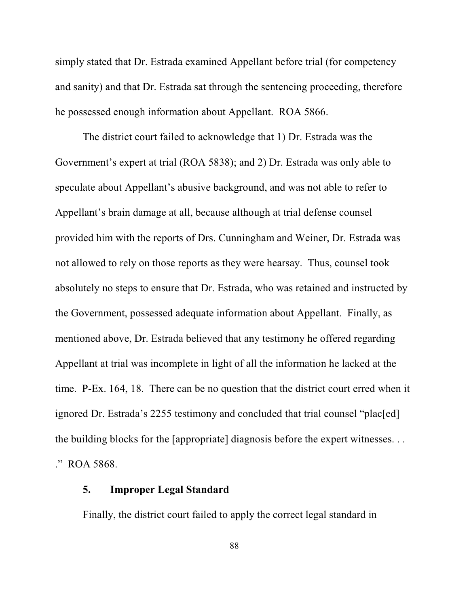simply stated that Dr. Estrada examined Appellant before trial (for competency and sanity) and that Dr. Estrada sat through the sentencing proceeding, therefore he possessed enough information about Appellant. ROA 5866.

The district court failed to acknowledge that 1) Dr. Estrada was the Government's expert at trial (ROA 5838); and 2) Dr. Estrada was only able to speculate about Appellant's abusive background, and was not able to refer to Appellant's brain damage at all, because although at trial defense counsel provided him with the reports of Drs. Cunningham and Weiner, Dr. Estrada was not allowed to rely on those reports as they were hearsay. Thus, counsel took absolutely no steps to ensure that Dr. Estrada, who was retained and instructed by the Government, possessed adequate information about Appellant. Finally, as mentioned above, Dr. Estrada believed that any testimony he offered regarding Appellant at trial was incomplete in light of all the information he lacked at the time. P-Ex. 164, 18. There can be no question that the district court erred when it ignored Dr. Estrada's 2255 testimony and concluded that trial counsel "plac[ed] the building blocks for the [appropriate] diagnosis before the expert witnesses. . . ." ROA 5868.

### **5. Improper Legal Standard**

Finally, the district court failed to apply the correct legal standard in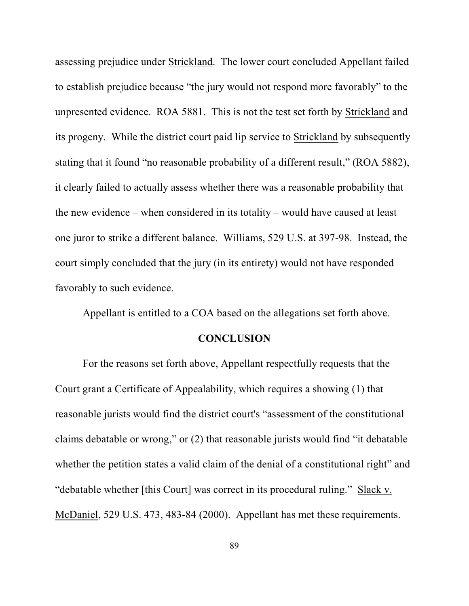assessing prejudice under Strickland. The lower court concluded Appellant failed to establish prejudice because "the jury would not respond more favorably" to the unpresented evidence. ROA 5881. This is not the test set forth by Strickland and its progeny. While the district court paid lip service to Strickland by subsequently stating that it found "no reasonable probability of a different result," (ROA 5882), it clearly failed to actually assess whether there was a reasonable probability that the new evidence – when considered in its totality – would have caused at least one juror to strike a different balance. Williams, 529 U.S. at 397-98. Instead, the court simply concluded that the jury (in its entirety) would not have responded favorably to such evidence.

Appellant is entitled to a COA based on the allegations set forth above.

### **CONCLUSION**

For the reasons set forth above, Appellant respectfully requests that the Court grant a Certificate of Appealability, which requires a showing (1) that reasonable jurists would find the district court's "assessment of the constitutional claims debatable or wrong," or (2) that reasonable jurists would find "it debatable whether the petition states a valid claim of the denial of a constitutional right" and "debatable whether [this Court] was correct in its procedural ruling." Slack v. McDaniel, 529 U.S. 473, 483-84 (2000). Appellant has met these requirements.